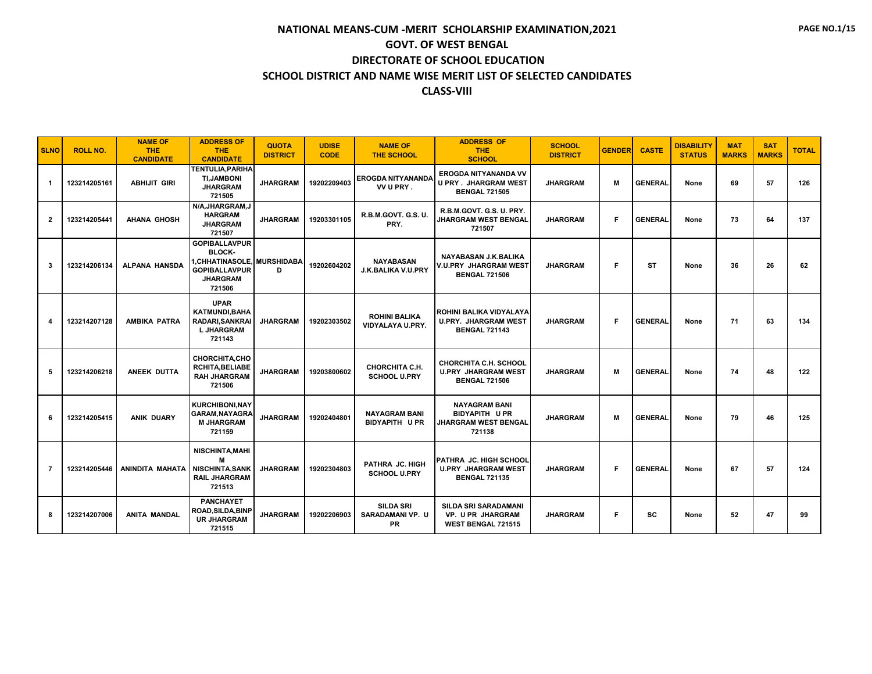| <b>SLNO</b>      | <b>ROLL NO.</b> | <b>NAME OF</b><br><b>THE</b><br><b>CANDIDATE</b> | <b>ADDRESS OF</b><br><b>THE</b><br><b>CANDIDATE</b>                                                                      | <b>QUOTA</b><br><b>DISTRICT</b> | <b>UDISE</b><br><b>CODE</b> | <b>NAME OF</b><br><b>THE SCHOOL</b>          | <b>ADDRESS OF</b><br><b>THE</b><br><b>SCHOOL</b>                                    | <b>SCHOOL</b><br><b>DISTRICT</b> | <b>GENDER</b> | <b>CASTE</b>   | <b>DISABILITY</b><br><b>STATUS</b> | <b>MAT</b><br><b>MARKS</b> | <b>SAT</b><br><b>MARKS</b> | <b>TOTAL</b> |
|------------------|-----------------|--------------------------------------------------|--------------------------------------------------------------------------------------------------------------------------|---------------------------------|-----------------------------|----------------------------------------------|-------------------------------------------------------------------------------------|----------------------------------|---------------|----------------|------------------------------------|----------------------------|----------------------------|--------------|
| -1               | 123214205161    | <b>ABHIJIT GIRI</b>                              | <b>TENTULIA, PARIHA</b><br><b>TI, JAMBONI</b><br><b>JHARGRAM</b><br>721505                                               | <b>JHARGRAM</b>                 | 19202209403                 | EROGDA NITYANANDA<br>VV U PRY.               | <b>EROGDA NITYANANDA VV</b><br><b>U PRY . JHARGRAM WEST</b><br><b>BENGAL 721505</b> | <b>JHARGRAM</b>                  | м             | <b>GENERAL</b> | None                               | 69                         | 57                         | 126          |
| $\overline{2}$   | 123214205441    | <b>AHANA GHOSH</b>                               | N/A.JHARGRAM.J<br><b>HARGRAM</b><br><b>JHARGRAM</b><br>721507                                                            | <b>JHARGRAM</b>                 | 19203301105                 | R.B.M.GOVT. G.S. U.<br>PRY.                  | R.B.M.GOVT. G.S. U. PRY.<br><b>JHARGRAM WEST BENGAL</b><br>721507                   | <b>JHARGRAM</b>                  | F.            | <b>GENERAL</b> | None                               | 73                         | 64                         | 137          |
| 3                | 123214206134    | <b>ALPANA HANSDA</b>                             | <b>GOPIBALLAVPUR</b><br><b>BLOCK-</b><br>I,CHHATINASOLE, MURSHIDABA<br><b>GOPIBALLAVPUR</b><br><b>JHARGRAM</b><br>721506 | D                               | 19202604202                 | <b>NAYABASAN</b><br>J.K.BALIKA V.U.PRY       | NAYABASAN J.K.BALIKA<br>V.U.PRY JHARGRAM WEST<br><b>BENGAL 721506</b>               | <b>JHARGRAM</b>                  | F             | <b>ST</b>      | None                               | 36                         | 26                         | 62           |
| $\boldsymbol{4}$ | 123214207128    | AMBIKA PATRA                                     | <b>UPAR</b><br><b>KATMUNDI, BAHA</b><br><b>RADARI, SANKRAI</b><br><b>L JHARGRAM</b><br>721143                            | <b>JHARGRAM</b>                 | 19202303502                 | <b>ROHINI BALIKA</b><br>VIDYALAYA U.PRY.     | ROHINI BALIKA VIDYALAYA<br><b>U.PRY. JHARGRAM WEST</b><br><b>BENGAL 721143</b>      | <b>JHARGRAM</b>                  | F.            | <b>GENERAL</b> | None                               | 71                         | 63                         | 134          |
| 5                | 123214206218    | ANEEK DUTTA                                      | <b>CHORCHITA,CHO</b><br><b>RCHITA.BELIABE</b><br><b>RAH JHARGRAM</b><br>721506                                           | <b>JHARGRAM</b>                 | 19203800602                 | CHORCHITA C.H.<br><b>SCHOOL U.PRY</b>        | <b>CHORCHITA C.H. SCHOOL</b><br><b>U.PRY JHARGRAM WEST</b><br><b>BENGAL 721506</b>  | <b>JHARGRAM</b>                  | м             | <b>GENERAL</b> | None                               | 74                         | 48                         | 122          |
| 6                | 123214205415    | <b>ANIK DUARY</b>                                | <b>KURCHIBONI, NAY</b><br><b>GARAM, NAYAGRA</b><br><b>M JHARGRAM</b><br>721159                                           | <b>JHARGRAM</b>                 | 19202404801                 | <b>NAYAGRAM BANI</b><br><b>BIDYAPITH UPR</b> | <b>NAYAGRAM BANI</b><br><b>BIDYAPITH UPR</b><br>JHARGRAM WEST BENGAL<br>721138      | <b>JHARGRAM</b>                  | м             | <b>GENERAL</b> | None                               | 79                         | 46                         | 125          |
| $\overline{7}$   | 123214205446    | ANINDITA MAHATA                                  | <b>NISCHINTA, MAHI</b><br>м<br><b>NISCHINTA, SANK</b><br><b>RAIL JHARGRAM</b><br>721513                                  | <b>JHARGRAM</b>                 | 19202304803                 | PATHRA JC. HIGH<br><b>SCHOOL U.PRY</b>       | PATHRA JC. HIGH SCHOOL<br><b>U.PRY JHARGRAM WEST</b><br><b>BENGAL 721135</b>        | <b>JHARGRAM</b>                  | F.            | <b>GENERAL</b> | None                               | 67                         | 57                         | 124          |
| 8                | 123214207006    | <b>ANITA MANDAL</b>                              | <b>PANCHAYET</b><br><b>ROAD, SILDA, BINP</b><br><b>UR JHARGRAM</b><br>721515                                             | <b>JHARGRAM</b>                 | 19202206903                 | <b>SILDA SRI</b><br>SARADAMANI VP. U<br>PR   | <b>SILDA SRI SARADAMANI</b><br>VP. U PR JHARGRAM<br><b>WEST BENGAL 721515</b>       | <b>JHARGRAM</b>                  | F             | <b>SC</b>      | None                               | 52                         | 47                         | 99           |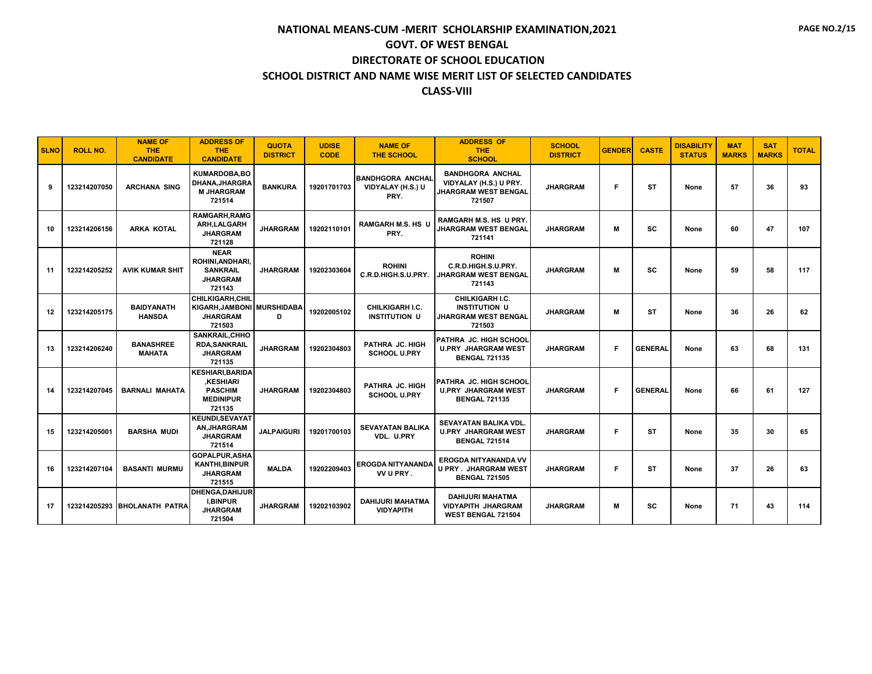| <b>SLNO</b> | <b>ROLL NO.</b> | <b>NAME OF</b><br><b>THE</b><br><b>CANDIDATE</b> | <b>ADDRESS OF</b><br><b>THE</b><br><b>CANDIDATE</b>                                        | <b>QUOTA</b><br><b>DISTRICT</b> | <b>UDISE</b><br><b>CODE</b> | <b>NAME OF</b><br><b>THE SCHOOL</b>                  | <b>ADDRESS OF</b><br><b>THE</b><br><b>SCHOOL</b>                                    | <b>SCHOOL</b><br><b>DISTRICT</b> | <b>GENDER</b> | <b>CASTE</b>   | <b>DISABILITY</b><br><b>STATUS</b> | <b>MAT</b><br><b>MARKS</b> | <b>SAT</b><br><b>MARKS</b> | <b>TOTAL</b> |
|-------------|-----------------|--------------------------------------------------|--------------------------------------------------------------------------------------------|---------------------------------|-----------------------------|------------------------------------------------------|-------------------------------------------------------------------------------------|----------------------------------|---------------|----------------|------------------------------------|----------------------------|----------------------------|--------------|
| 9           | 123214207050    | <b>ARCHANA SING</b>                              | <b>KUMARDOBA.BO</b><br><b>DHANA, JHARGRA</b><br><b>M JHARGRAM</b><br>721514                | <b>BANKURA</b>                  | 19201701703                 | <b>BANDHGORA ANCHAL</b><br>VIDYALAY (H.S.) U<br>PRY. | <b>BANDHGORA ANCHAL</b><br>VIDYALAY (H.S.) U PRY.<br>JHARGRAM WEST BENGAL<br>721507 | <b>JHARGRAM</b>                  | F             | <b>ST</b>      | None                               | 57                         | 36                         | 93           |
| 10          | 123214206156    | <b>ARKA KOTAL</b>                                | <b>RAMGARH.RAMG</b><br>ARH, LALGARH<br><b>JHARGRAM</b><br>721128                           | <b>JHARGRAM</b>                 | 19202110101                 | <b>RAMGARH M.S. HS U</b><br>PRY.                     | RAMGARH M.S. HS U PRY.<br><b>JHARGRAM WEST BENGAL</b><br>721141                     | <b>JHARGRAM</b>                  | м             | SC             | None                               | 60                         | 47                         | 107          |
| 11          | 123214205252    | <b>AVIK KUMAR SHIT</b>                           | <b>NEAR</b><br>ROHINI, ANDHARI,<br><b>SANKRAIL</b><br><b>JHARGRAM</b><br>721143            | <b>JHARGRAM</b>                 | 19202303604                 | <b>ROHINI</b><br>C.R.D.HIGH.S.U.PRY.                 | <b>ROHINI</b><br>C.R.D.HIGH.S.U.PRY.<br><b>JHARGRAM WEST BENGAL</b><br>721143       | <b>JHARGRAM</b>                  | м             | SC             | None                               | 59                         | 58                         | 117          |
| 12          | 123214205175    | <b>BAIDYANATH</b><br><b>HANSDA</b>               | <b>CHILKIGARH.CHIL</b><br>KIGARH, JAMBONI MURSHIDABA<br><b>JHARGRAM</b><br>721503          | D                               | 19202005102                 | <b>CHILKIGARH I.C.</b><br><b>INSTITUTION U</b>       | CHILKIGARH I.C.<br><b>INSTITUTION U</b><br>JHARGRAM WEST BENGAL<br>721503           | <b>JHARGRAM</b>                  | м             | <b>ST</b>      | None                               | 36                         | 26                         | 62           |
| 13          | 123214206240    | <b>BANASHREE</b><br><b>MAHATA</b>                | <b>SANKRAIL.CHHO</b><br><b>RDA.SANKRAIL</b><br><b>JHARGRAM</b><br>721135                   | <b>JHARGRAM</b>                 | 19202304803                 | PATHRA JC. HIGH<br><b>SCHOOL U.PRY</b>               | <b>PATHRA JC. HIGH SCHOOL</b><br><b>U.PRY JHARGRAM WEST</b><br><b>BENGAL 721135</b> | <b>JHARGRAM</b>                  | F             | <b>GENERAL</b> | None                               | 63                         | 68                         | 131          |
| 14          | 123214207045    | <b>BARNALI MAHATA</b>                            | <b>KESHIARI, BARIDA</b><br><b>KESHIARI</b><br><b>PASCHIM</b><br><b>MEDINIPUR</b><br>721135 | <b>JHARGRAM</b>                 | 19202304803                 | PATHRA JC. HIGH<br><b>SCHOOL U.PRY</b>               | PATHRA JC. HIGH SCHOOL<br><b>U.PRY JHARGRAM WEST</b><br><b>BENGAL 721135</b>        | <b>JHARGRAM</b>                  | F.            | <b>GENERAL</b> | None                               | 66                         | 61                         | 127          |
| 15          | 123214205001    | <b>BARSHA MUDI</b>                               | <b>KEUNDI.SEVAYAT</b><br><b>AN, JHARGRAM</b><br><b>JHARGRAM</b><br>721514                  | <b>JALPAIGURI</b>               | 19201700103                 | <b>SEVAYATAN BALIKA</b><br>VDL. U.PRY                | <b>SEVAYATAN BALIKA VDL.</b><br><b>U.PRY JHARGRAM WEST</b><br><b>BENGAL 721514</b>  | <b>JHARGRAM</b>                  | F             | <b>ST</b>      | None                               | 35                         | 30                         | 65           |
| 16          | 123214207104    | <b>BASANTI MURMU</b>                             | <b>GOPALPUR.ASHA</b><br><b>KANTHI, BINPUR</b><br><b>JHARGRAM</b><br>721515                 | <b>MALDA</b>                    | 19202209403                 | <b>EROGDA NITYANANDA</b><br>VV U PRY.                | EROGDA NITYANANDA VV<br><b>U PRY . JHARGRAM WEST</b><br><b>BENGAL 721505</b>        | <b>JHARGRAM</b>                  | F             | <b>ST</b>      | None                               | 37                         | 26                         | 63           |
| 17          |                 | 123214205293 BHOLANATH PATRA                     | DHENGA, DAHIJUR<br><b>I,BINPUR</b><br><b>JHARGRAM</b><br>721504                            | <b>JHARGRAM</b>                 | 19202103902                 | <b>DAHIJURI MAHATMA</b><br><b>VIDYAPITH</b>          | <b>DAHIJURI MAHATMA</b><br><b>VIDYAPITH JHARGRAM</b><br><b>WEST BENGAL 721504</b>   | <b>JHARGRAM</b>                  | м             | <b>SC</b>      | None                               | 71                         | 43                         | 114          |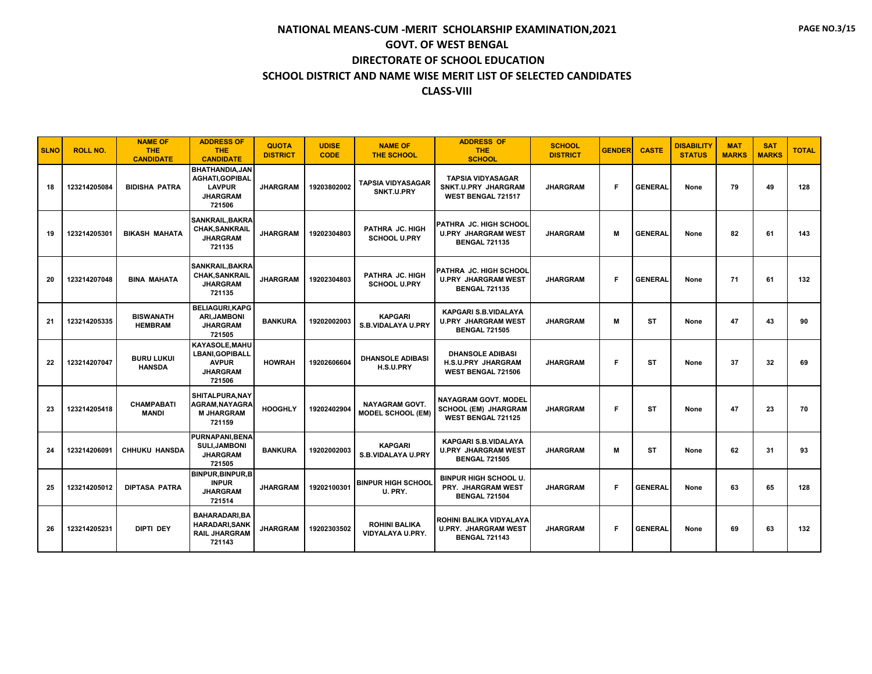| <b>SLNO</b> | <b>ROLL NO.</b> | <b>NAME OF</b><br><b>THE</b><br><b>CANDIDATE</b> | <b>ADDRESS OF</b><br><b>THE</b><br><b>CANDIDATE</b>                                        | <b>QUOTA</b><br><b>DISTRICT</b> | <b>UDISE</b><br><b>CODE</b> | <b>NAME OF</b><br><b>THE SCHOOL</b>               | <b>ADDRESS OF</b><br><b>THE</b><br><b>SCHOOL</b>                                        | <b>SCHOOL</b><br><b>DISTRICT</b> | <b>GENDER</b> | <b>CASTE</b>   | <b>DISABILITY</b><br><b>STATUS</b> | <b>MAT</b><br><b>MARKS</b> | <b>SAT</b><br><b>MARKS</b> | <b>TOTAL</b> |
|-------------|-----------------|--------------------------------------------------|--------------------------------------------------------------------------------------------|---------------------------------|-----------------------------|---------------------------------------------------|-----------------------------------------------------------------------------------------|----------------------------------|---------------|----------------|------------------------------------|----------------------------|----------------------------|--------------|
| 18          | 123214205084    | <b>BIDISHA PATRA</b>                             | <b>BHATHANDIA.JAN</b><br>AGHATI, GOPIBAL<br><b>LAVPUR</b><br><b>JHARGRAM</b><br>721506     | <b>JHARGRAM</b>                 | 19203802002                 | <b>TAPSIA VIDYASAGAR</b><br>SNKT.U.PRY            | <b>TAPSIA VIDYASAGAR</b><br>SNKT.U.PRY JHARGRAM<br><b>WEST BENGAL 721517</b>            | <b>JHARGRAM</b>                  | F.            | <b>GENERAL</b> | None                               | 79                         | 49                         | 128          |
| 19          | 123214205301    | <b>BIKASH MAHATA</b>                             | <b>SANKRAIL, BAKRA</b><br><b>CHAK, SANKRAIL</b><br><b>JHARGRAM</b><br>721135               | <b>JHARGRAM</b>                 | 19202304803                 | PATHRA JC. HIGH<br><b>SCHOOL U.PRY</b>            | PATHRA JC. HIGH SCHOOL<br><b>U.PRY JHARGRAM WEST</b><br><b>BENGAL 721135</b>            | <b>JHARGRAM</b>                  | М             | <b>GENERAL</b> | None                               | 82                         | 61                         | 143          |
| 20          | 123214207048    | <b>BINA MAHATA</b>                               | <b>SANKRAIL, BAKRA</b><br><b>CHAK, SANKRAIL</b><br><b>JHARGRAM</b><br>721135               | <b>JHARGRAM</b>                 | 19202304803                 | PATHRA JC. HIGH<br><b>SCHOOL U.PRY</b>            | PATHRA JC. HIGH SCHOOL<br><b>U.PRY JHARGRAM WEST</b><br><b>BENGAL 721135</b>            | <b>JHARGRAM</b>                  | F.            | <b>GENERAL</b> | None                               | 71                         | 61                         | 132          |
| 21          | 123214205335    | <b>BISWANATH</b><br><b>HEMBRAM</b>               | <b>BELIAGURI, KAPG</b><br><b>ARI, JAMBONI</b><br><b>JHARGRAM</b><br>721505                 | <b>BANKURA</b>                  | 19202002003                 | <b>KAPGARI</b><br><b>S.B.VIDALAYA U.PRY</b>       | <b>KAPGARI S.B.VIDALAYA</b><br><b>U.PRY JHARGRAM WEST</b><br><b>BENGAL 721505</b>       | <b>JHARGRAM</b>                  | м             | <b>ST</b>      | None                               | 47                         | 43                         | 90           |
| 22          | 123214207047    | <b>BURU LUKUI</b><br><b>HANSDA</b>               | <b>KAYASOLE.MAHU</b><br><b>LBANI.GOPIBALL</b><br><b>AVPUR</b><br><b>JHARGRAM</b><br>721506 | <b>HOWRAH</b>                   | 19202606604                 | <b>DHANSOLE ADIBASI</b><br>H.S.U.PRY              | <b>DHANSOLE ADIBASI</b><br><b>H.S.U.PRY JHARGRAM</b><br><b>WEST BENGAL 721506</b>       | <b>JHARGRAM</b>                  | F             | <b>ST</b>      | None                               | 37                         | 32                         | 69           |
| 23          | 123214205418    | <b>CHAMPABATI</b><br><b>MANDI</b>                | SHITALPURA.NAY<br><b>AGRAM, NAYAGRA</b><br><b>M JHARGRAM</b><br>721159                     | <b>HOOGHLY</b>                  | 19202402904                 | <b>NAYAGRAM GOVT.</b><br><b>MODEL SCHOOL (EM)</b> | <b>NAYAGRAM GOVT, MODEL</b><br><b>SCHOOL (EM) JHARGRAM</b><br><b>WEST BENGAL 721125</b> | <b>JHARGRAM</b>                  | F.            | <b>ST</b>      | None                               | 47                         | 23                         | 70           |
| 24          | 123214206091    | <b>CHHUKU HANSDA</b>                             | <b>PURNAPANI.BENA</b><br><b>SULI, JAMBONI</b><br><b>JHARGRAM</b><br>721505                 | <b>BANKURA</b>                  | 19202002003                 | <b>KAPGARI</b><br>S.B.VIDALAYA U.PRY              | <b>KAPGARI S.B.VIDALAYA</b><br><b>U.PRY JHARGRAM WEST</b><br><b>BENGAL 721505</b>       | <b>JHARGRAM</b>                  | М             | <b>ST</b>      | None                               | 62                         | 31                         | 93           |
| 25          | 123214205012    | <b>DIPTASA PATRA</b>                             | <b>BINPUR, BINPUR, B</b><br><b>INPUR</b><br><b>JHARGRAM</b><br>721514                      | <b>JHARGRAM</b>                 | 19202100301                 | <b>BINPUR HIGH SCHOOL</b><br>U. PRY.              | <b>BINPUR HIGH SCHOOL U.</b><br>PRY. JHARGRAM WEST<br><b>BENGAL 721504</b>              | <b>JHARGRAM</b>                  | F.            | <b>GENERAL</b> | None                               | 63                         | 65                         | 128          |
| 26          | 123214205231    | <b>DIPTI DEY</b>                                 | <b>BAHARADARI.BA</b><br><b>HARADARI, SANK</b><br><b>RAIL JHARGRAM</b><br>721143            | <b>JHARGRAM</b>                 | 19202303502                 | <b>ROHINI BALIKA</b><br>VIDYALAYA U.PRY.          | ROHINI BALIKA VIDYALAYA<br><b>U.PRY. JHARGRAM WEST</b><br><b>BENGAL 721143</b>          | <b>JHARGRAM</b>                  | F.            | <b>GENERAL</b> | None                               | 69                         | 63                         | 132          |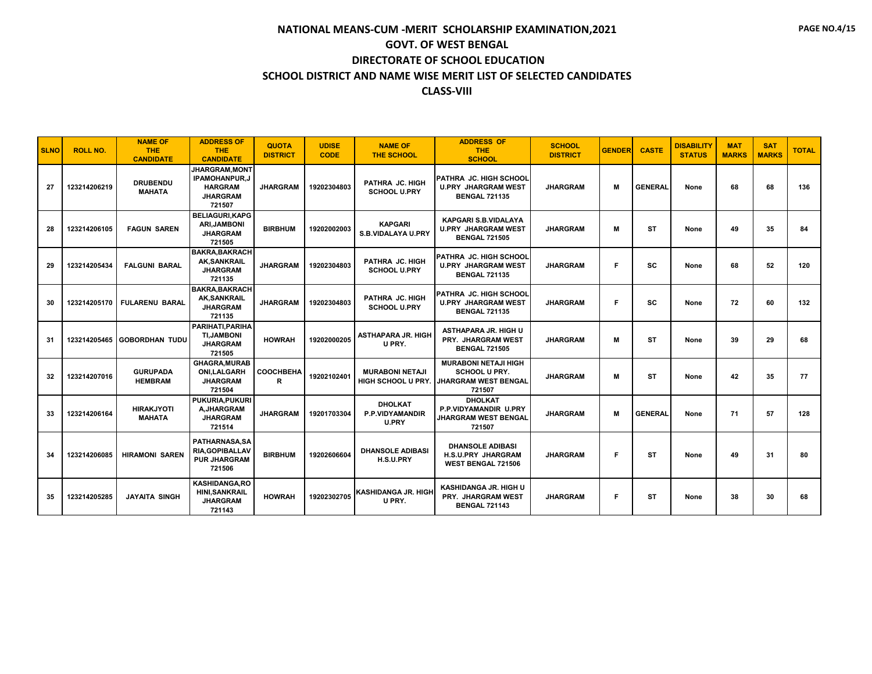| <b>SLNO</b> | <b>ROLL NO.</b> | <b>NAME OF</b><br><b>THE</b><br><b>CANDIDATE</b> | <b>ADDRESS OF</b><br><b>THE</b><br><b>CANDIDATE</b>                                         | <b>QUOTA</b><br><b>DISTRICT</b> | <b>UDISE</b><br><b>CODE</b> | <b>NAME OF</b><br><b>THE SCHOOL</b>                      | <b>ADDRESS OF</b><br>THE.<br><b>SCHOOL</b>                                                   | <b>SCHOOL</b><br><b>DISTRICT</b> | <b>GENDER</b> | <b>CASTE</b>   | <b>DISABILITY</b><br><b>STATUS</b> | <b>MAT</b><br><b>MARKS</b> | <b>SAT</b><br><b>MARKS</b> | <b>TOTAL</b> |
|-------------|-----------------|--------------------------------------------------|---------------------------------------------------------------------------------------------|---------------------------------|-----------------------------|----------------------------------------------------------|----------------------------------------------------------------------------------------------|----------------------------------|---------------|----------------|------------------------------------|----------------------------|----------------------------|--------------|
| 27          | 123214206219    | <b>DRUBENDU</b><br><b>MAHATA</b>                 | <b>JHARGRAM.MONT</b><br><b>IPAMOHANPUR.J</b><br><b>HARGRAM</b><br><b>JHARGRAM</b><br>721507 | <b>JHARGRAM</b>                 | 19202304803                 | PATHRA JC. HIGH<br><b>SCHOOL U.PRY</b>                   | PATHRA JC. HIGH SCHOOL<br><b>U.PRY JHARGRAM WEST</b><br><b>BENGAL 721135</b>                 | <b>JHARGRAM</b>                  | м             | <b>GENERAL</b> | None                               | 68                         | 68                         | 136          |
| 28          | 123214206105    | <b>FAGUN SAREN</b>                               | <b>BELIAGURI.KAPG</b><br><b>ARI.JAMBONI</b><br><b>JHARGRAM</b><br>721505                    | <b>BIRBHUM</b>                  | 19202002003                 | <b>KAPGARI</b><br><b>S.B.VIDALAYA U.PRY</b>              | <b>KAPGARI S.B.VIDALAYA</b><br><b>U.PRY JHARGRAM WEST</b><br><b>BENGAL 721505</b>            | <b>JHARGRAM</b>                  | М             | <b>ST</b>      | None                               | 49                         | 35                         | 84           |
| 29          | 123214205434    | <b>FALGUNI BARAL</b>                             | <b>BAKRA.BAKRACH</b><br><b>AK,SANKRAIL</b><br><b>JHARGRAM</b><br>721135                     | <b>JHARGRAM</b>                 | 19202304803                 | PATHRA JC. HIGH<br><b>SCHOOL U.PRY</b>                   | <b>PATHRA JC. HIGH SCHOOL</b><br><b>U.PRY JHARGRAM WEST</b><br><b>BENGAL 721135</b>          | <b>JHARGRAM</b>                  | F             | sc             | None                               | 68                         | 52                         | 120          |
| 30          | 123214205170    | <b>FULARENU BARAL</b>                            | <b>BAKRA.BAKRACH</b><br><b>AK, SANKRAIL</b><br><b>JHARGRAM</b><br>721135                    | <b>JHARGRAM</b>                 | 19202304803                 | PATHRA JC. HIGH<br><b>SCHOOL U.PRY</b>                   | PATHRA JC. HIGH SCHOOL<br><b>U.PRY JHARGRAM WEST</b><br><b>BENGAL 721135</b>                 | <b>JHARGRAM</b>                  | F             | <b>SC</b>      | None                               | 72                         | 60                         | 132          |
| 31          | 123214205465    | <b>GOBORDHAN TUDU</b>                            | PARIHATI, PARIHA<br><b>TI.JAMBONI</b><br><b>JHARGRAM</b><br>721505                          | <b>HOWRAH</b>                   | 19202000205                 | <b>ASTHAPARA JR. HIGH</b><br>U PRY.                      | ASTHAPARA JR. HIGH U<br><b>PRY. JHARGRAM WEST</b><br><b>BENGAL 721505</b>                    | <b>JHARGRAM</b>                  | М             | <b>ST</b>      | None                               | 39                         | 29                         | 68           |
| 32          | 123214207016    | <b>GURUPADA</b><br><b>HEMBRAM</b>                | <b>GHAGRA, MURAB</b><br><b>ONI.LALGARH</b><br><b>JHARGRAM</b><br>721504                     | COOCHBEHA<br>R                  | 19202102401                 | <b>MURABONI NETAJI</b><br>HIGH SCHOOL U PRY              | <b>MURABONI NETAJI HIGH</b><br><b>SCHOOL U PRY.</b><br><b>JHARGRAM WEST BENGAL</b><br>721507 | <b>JHARGRAM</b>                  | М             | <b>ST</b>      | None                               | 42                         | 35                         | 77           |
| 33          | 123214206164    | <b>HIRAKJYOTI</b><br><b>MAHATA</b>               | <b>PUKURIA.PUKURI</b><br>A, JHARGRAM<br><b>JHARGRAM</b><br>721514                           | <b>JHARGRAM</b>                 | 19201703304                 | <b>DHOLKAT</b><br><b>P.P.VIDYAMANDIR</b><br><b>U.PRY</b> | <b>DHOLKAT</b><br>P.P.VIDYAMANDIR U.PRY<br><b>JHARGRAM WEST BENGAL</b><br>721507             | <b>JHARGRAM</b>                  | м             | <b>GENERAL</b> | None                               | 71                         | 57                         | 128          |
| 34          | 123214206085    | <b>HIRAMONI SAREN</b>                            | PATHARNASA, SA<br><b>RIA.GOPIBALLAV</b><br><b>PUR JHARGRAM</b><br>721506                    | <b>BIRBHUM</b>                  | 19202606604                 | <b>DHANSOLE ADIBASI</b><br>H.S.U.PRY                     | <b>DHANSOLE ADIBASI</b><br><b>H.S.U.PRY JHARGRAM</b><br><b>WEST BENGAL 721506</b>            | <b>JHARGRAM</b>                  | F             | <b>ST</b>      | None                               | 49                         | 31                         | 80           |
| 35          | 123214205285    | JAYAITA SINGH                                    | <b>KASHIDANGA.RO</b><br><b>HINI, SANKRAIL</b><br><b>JHARGRAM</b><br>721143                  | <b>HOWRAH</b>                   | 19202302705                 | KASHIDANGA JR. HIGH<br>U PRY.                            | KASHIDANGA JR. HIGH U<br>PRY. JHARGRAM WEST<br><b>BENGAL 721143</b>                          | <b>JHARGRAM</b>                  | F             | <b>ST</b>      | None                               | 38                         | 30                         | 68           |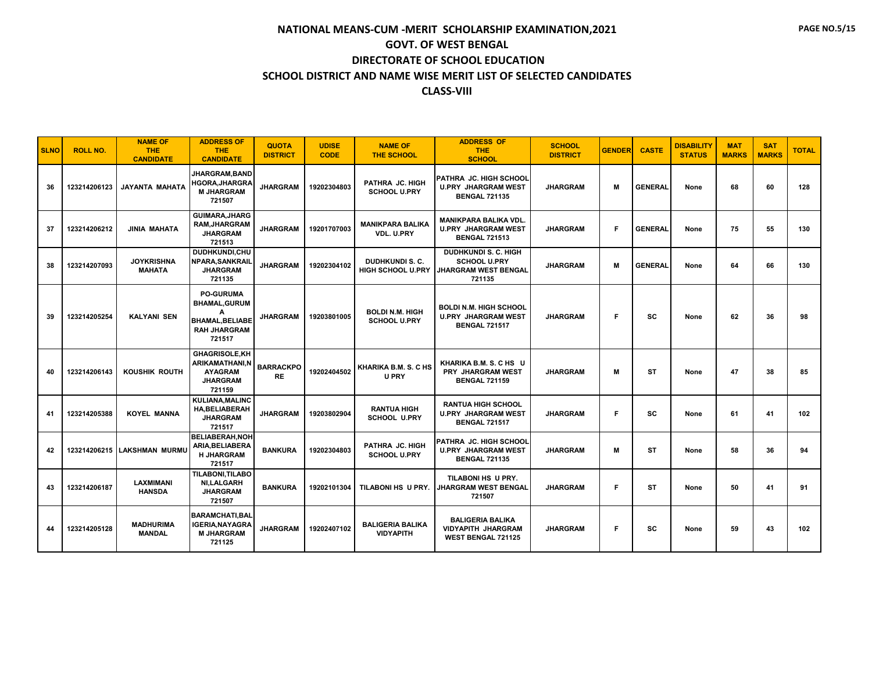| <b>SLNO</b> | <b>ROLL NO.</b> | <b>NAME OF</b><br><b>THE</b><br><b>CANDIDATE</b> | <b>ADDRESS OF</b><br><b>THE</b><br><b>CANDIDATE</b>                                                      | <b>QUOTA</b><br><b>DISTRICT</b> | <b>UDISE</b><br><b>CODE</b> | <b>NAME OF</b><br><b>THE SCHOOL</b>                | <b>ADDRESS OF</b><br><b>THE</b><br><b>SCHOOL</b>                                            | <b>SCHOOL</b><br><b>DISTRICT</b> | <b>GENDER</b> | <b>CASTE</b>   | <b>DISABILITY</b><br><b>STATUS</b> | <b>MAT</b><br><b>MARKS</b> | <b>SAT</b><br><b>MARKS</b> | <b>TOTAL</b> |
|-------------|-----------------|--------------------------------------------------|----------------------------------------------------------------------------------------------------------|---------------------------------|-----------------------------|----------------------------------------------------|---------------------------------------------------------------------------------------------|----------------------------------|---------------|----------------|------------------------------------|----------------------------|----------------------------|--------------|
| 36          | 123214206123    | <b>JAYANTA MAHATA</b>                            | JHARGRAM.BAND<br><b>HGORA, JHARGRA</b><br><b>M JHARGRAM</b><br>721507                                    | <b>JHARGRAM</b>                 | 19202304803                 | PATHRA JC. HIGH<br><b>SCHOOL U.PRY</b>             | PATHRA JC. HIGH SCHOOL<br><b>U.PRY JHARGRAM WEST</b><br><b>BENGAL 721135</b>                | <b>JHARGRAM</b>                  | м             | <b>GENERAL</b> | None                               | 68                         | 60                         | 128          |
| 37          | 123214206212    | <b>JINIA MAHATA</b>                              | <b>GUIMARA, JHARG</b><br><b>RAM, JHARGRAM</b><br><b>JHARGRAM</b><br>721513                               | <b>JHARGRAM</b>                 | 19201707003                 | <b>MANIKPARA BALIKA</b><br>VDL. U.PRY              | <b>MANIKPARA BALIKA VDL.</b><br><b>U.PRY JHARGRAM WEST</b><br><b>BENGAL 721513</b>          | <b>JHARGRAM</b>                  | F             | <b>GENERAL</b> | None                               | 75                         | 55                         | 130          |
| 38          | 123214207093    | <b>JOYKRISHNA</b><br><b>MAHATA</b>               | DUDHKUNDI,CHU<br><b>NPARA, SANKRAIL</b><br><b>JHARGRAM</b><br>721135                                     | <b>JHARGRAM</b>                 | 19202304102                 | <b>DUDHKUNDI S. C.</b><br><b>HIGH SCHOOL U.PRY</b> | <b>DUDHKUNDI S. C. HIGH</b><br><b>SCHOOL U.PRY</b><br><b>JHARGRAM WEST BENGAL</b><br>721135 | <b>JHARGRAM</b>                  | м             | <b>GENERAL</b> | None                               | 64                         | 66                         | 130          |
| 39          | 123214205254    | <b>KALYANI SEN</b>                               | <b>PO-GURUMA</b><br><b>BHAMAL, GURUM</b><br>A<br><b>BHAMAL, BELIABE</b><br><b>RAH JHARGRAM</b><br>721517 | <b>JHARGRAM</b>                 | 19203801005                 | <b>BOLDI N.M. HIGH</b><br><b>SCHOOL U.PRY</b>      | <b>BOLDI N.M. HIGH SCHOOL</b><br><b>U.PRY JHARGRAM WEST</b><br><b>BENGAL 721517</b>         | <b>JHARGRAM</b>                  | F             | <b>SC</b>      | None                               | 62                         | 36                         | 98           |
| 40          | 123214206143    | KOUSHIK ROUTH                                    | <b>GHAGRISOLE,KH</b><br><b>ARIKAMATHANI,N</b><br><b>AYAGRAM</b><br><b>JHARGRAM</b><br>721159             | <b>BARRACKPO</b><br><b>RE</b>   | 19202404502                 | KHARIKA B.M. S. C HS<br><b>U PRY</b>               | KHARIKA B.M. S. C HS U<br><b>PRY JHARGRAM WEST</b><br><b>BENGAL 721159</b>                  | <b>JHARGRAM</b>                  | м             | <b>ST</b>      | None                               | 47                         | 38                         | 85           |
| 41          | 123214205388    | <b>KOYEL MANNA</b>                               | <b>KULIANA.MALINC</b><br><b>HA.BELIABERAH</b><br><b>JHARGRAM</b><br>721517                               | <b>JHARGRAM</b>                 | 19203802904                 | <b>RANTUA HIGH</b><br><b>SCHOOL U.PRY</b>          | <b>RANTUA HIGH SCHOOL</b><br><b>U.PRY JHARGRAM WEST</b><br><b>BENGAL 721517</b>             | <b>JHARGRAM</b>                  | F             | <b>SC</b>      | None                               | 61                         | 41                         | 102          |
| 42          |                 | 123214206215 LAKSHMAN MURMU                      | <b>BELIABERAH.NOH</b><br>ARIA, BELIABERA<br><b>H JHARGRAM</b><br>721517                                  | <b>BANKURA</b>                  | 19202304803                 | PATHRA JC. HIGH<br><b>SCHOOL U.PRY</b>             | PATHRA JC. HIGH SCHOOL<br><b>U.PRY JHARGRAM WEST</b><br><b>BENGAL 721135</b>                | <b>JHARGRAM</b>                  | м             | <b>ST</b>      | None                               | 58                         | 36                         | 94           |
| 43          | 123214206187    | <b>LAXMIMANI</b><br><b>HANSDA</b>                | <b>TILABONI.TILABO</b><br><b>NI.LALGARH</b><br><b>JHARGRAM</b><br>721507                                 | <b>BANKURA</b>                  | 19202101304                 | TILABONI HS U PRY.                                 | TILABONI HS U PRY.<br><b>JHARGRAM WEST BENGAL</b><br>721507                                 | <b>JHARGRAM</b>                  | F.            | <b>ST</b>      | None                               | 50                         | 41                         | 91           |
| 44          | 123214205128    | <b>MADHURIMA</b><br><b>MANDAL</b>                | <b>BARAMCHATI, BAL</b><br><b>IGERIA.NAYAGRA</b><br><b>M JHARGRAM</b><br>721125                           | <b>JHARGRAM</b>                 | 19202407102                 | <b>BALIGERIA BALIKA</b><br><b>VIDYAPITH</b>        | <b>BALIGERIA BALIKA</b><br><b>VIDYAPITH JHARGRAM</b><br><b>WEST BENGAL 721125</b>           | <b>JHARGRAM</b>                  | F             | <b>SC</b>      | None                               | 59                         | 43                         | 102          |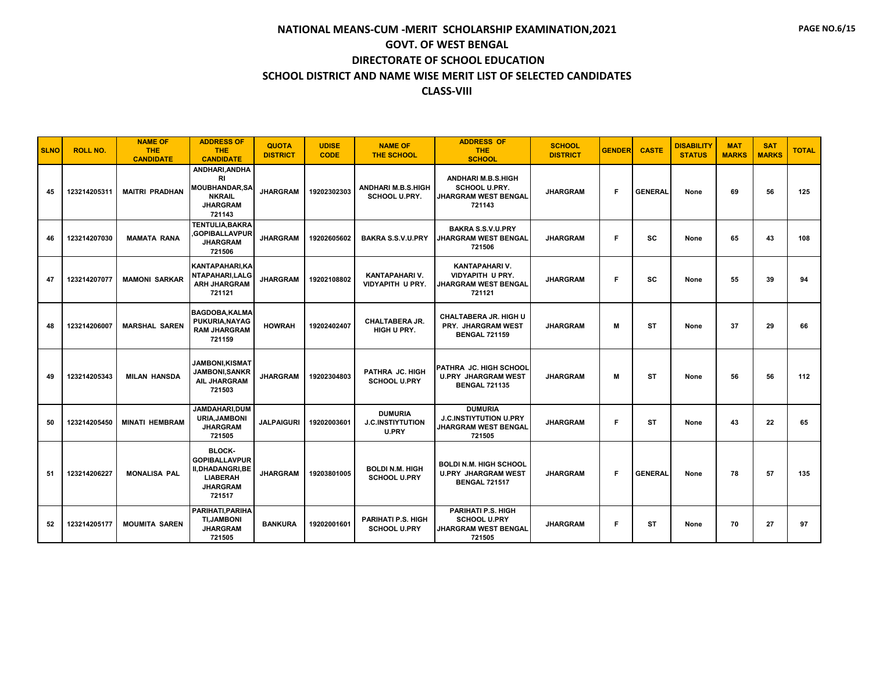| <b>SLNO</b> | <b>ROLL NO.</b> | <b>NAME OF</b><br><b>THE</b><br><b>CANDIDATE</b> | <b>ADDRESS OF</b><br><b>THE</b><br><b>CANDIDATE</b>                                                             | <b>QUOTA</b><br><b>DISTRICT</b> | <b>UDISE</b><br><b>CODE</b> | <b>NAME OF</b><br><b>THE SCHOOL</b>                       | <b>ADDRESS OF</b><br><b>THE</b><br><b>SCHOOL</b>                                         | <b>SCHOOL</b><br><b>DISTRICT</b> | <b>GENDER</b> | <b>CASTE</b>   | <b>DISABILITY</b><br><b>STATUS</b> | <b>MAT</b><br><b>MARKS</b> | <b>SAT</b><br><b>MARKS</b> | <b>TOTAL</b> |
|-------------|-----------------|--------------------------------------------------|-----------------------------------------------------------------------------------------------------------------|---------------------------------|-----------------------------|-----------------------------------------------------------|------------------------------------------------------------------------------------------|----------------------------------|---------------|----------------|------------------------------------|----------------------------|----------------------------|--------------|
| 45          | 123214205311    | <b>MAITRI PRADHAN</b>                            | ANDHARI, ANDHA<br><b>RI</b><br><b>MOUBHANDAR,SA</b><br><b>NKRAIL</b><br><b>JHARGRAM</b><br>721143               | <b>JHARGRAM</b>                 | 19202302303                 | ANDHARI M.B.S.HIGH<br><b>SCHOOL U.PRY.</b>                | <b>ANDHARI M.B.S.HIGH</b><br><b>SCHOOL U.PRY.</b><br>JHARGRAM WEST BENGAL<br>721143      | <b>JHARGRAM</b>                  | F.            | <b>GENERAL</b> | None                               | 69                         | 56                         | 125          |
| 46          | 123214207030    | <b>MAMATA RANA</b>                               | TENTULIA.BAKRA<br>,GOPIBALLAVPUR<br><b>JHARGRAM</b><br>721506                                                   | <b>JHARGRAM</b>                 | 19202605602                 | BAKRA S.S.V.U.PRY                                         | <b>BAKRA S.S.V.U.PRY</b><br><b>JHARGRAM WEST BENGAL</b><br>721506                        | <b>JHARGRAM</b>                  | F             | <b>SC</b>      | None                               | 65                         | 43                         | 108          |
| 47          | 123214207077    | <b>MAMONI SARKAR</b>                             | KANTAPAHARI.KA<br>NTAPAHARI, LALG<br><b>ARH JHARGRAM</b><br>721121                                              | <b>JHARGRAM</b>                 | 19202108802                 | KANTAPAHARI V.<br>VIDYAPITH U PRY.                        | KANTAPAHARI V.<br><b>VIDYAPITH U PRY.</b><br><b>JHARGRAM WEST BENGAL</b><br>721121       | <b>JHARGRAM</b>                  | F             | <b>SC</b>      | None                               | 55                         | 39                         | 94           |
| 48          | 123214206007    | <b>MARSHAL SAREN</b>                             | <b>BAGDOBA,KALMA</b><br>PUKURIA, NAYAG<br><b>RAM JHARGRAM</b><br>721159                                         | <b>HOWRAH</b>                   | 19202402407                 | <b>CHALTABERA JR.</b><br>HIGH U PRY.                      | <b>CHALTABERA JR. HIGH U</b><br><b>PRY. JHARGRAM WEST</b><br><b>BENGAL 721159</b>        | <b>JHARGRAM</b>                  | М             | <b>ST</b>      | None                               | 37                         | 29                         | 66           |
| 49          | 123214205343    | <b>MILAN HANSDA</b>                              | JAMBONI,KISMAT<br><b>JAMBONI, SANKR</b><br>AIL JHARGRAM<br>721503                                               | <b>JHARGRAM</b>                 | 19202304803                 | PATHRA JC. HIGH<br><b>SCHOOL U.PRY</b>                    | PATHRA JC. HIGH SCHOOL<br><b>U.PRY JHARGRAM WEST</b><br><b>BENGAL 721135</b>             | <b>JHARGRAM</b>                  | м             | <b>ST</b>      | None                               | 56                         | 56                         | 112          |
| 50          | 123214205450    | <b>MINATI HEMBRAM</b>                            | <b>JAMDAHARI.DUM</b><br><b>URIA, JAMBONI</b><br><b>JHARGRAM</b><br>721505                                       | <b>JALPAIGURI</b>               | 19202003601                 | <b>DUMURIA</b><br><b>J.C.INSTIYTUTION</b><br><b>U.PRY</b> | <b>DUMURIA</b><br><b>J.C.INSTIYTUTION U.PRY</b><br><b>JHARGRAM WEST BENGAL</b><br>721505 | <b>JHARGRAM</b>                  | F             | <b>ST</b>      | None                               | 43                         | 22                         | 65           |
| 51          | 123214206227    | <b>MONALISA PAL</b>                              | <b>BLOCK-</b><br><b>GOPIBALLAVPUR</b><br><b>II.DHADANGRI.BE</b><br><b>LIABERAH</b><br><b>JHARGRAM</b><br>721517 | <b>JHARGRAM</b>                 | 19203801005                 | <b>BOLDI N.M. HIGH</b><br><b>SCHOOL U.PRY</b>             | <b>BOLDI N.M. HIGH SCHOOL</b><br><b>U.PRY JHARGRAM WEST</b><br><b>BENGAL 721517</b>      | <b>JHARGRAM</b>                  | F.            | <b>GENERAL</b> | None                               | 78                         | 57                         | 135          |
| 52          | 123214205177    | <b>MOUMITA SAREN</b>                             | PARIHATI, PARIHA<br><b>TI, JAMBONI</b><br><b>JHARGRAM</b><br>721505                                             | <b>BANKURA</b>                  | 19202001601                 | PARIHATI P.S. HIGH<br><b>SCHOOL U.PRY</b>                 | PARIHATI P.S. HIGH<br><b>SCHOOL U.PRY</b><br><b>JHARGRAM WEST BENGAL</b><br>721505       | <b>JHARGRAM</b>                  | F             | <b>ST</b>      | None                               | 70                         | 27                         | 97           |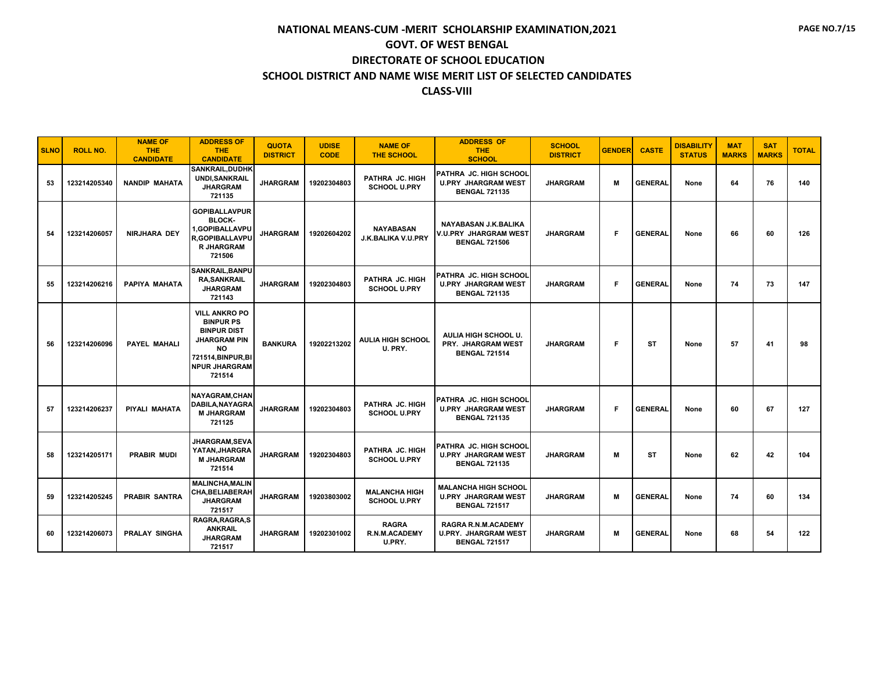| <b>SLNO</b> | <b>ROLL NO.</b> | <b>NAME OF</b><br><b>THE</b><br><b>CANDIDATE</b> | <b>ADDRESS OF</b><br><b>THE</b><br><b>CANDIDATE</b>                                                                                                        | <b>QUOTA</b><br><b>DISTRICT</b> | <b>UDISE</b><br><b>CODE</b> | <b>NAME OF</b><br><b>THE SCHOOL</b>            | <b>ADDRESS OF</b><br><b>THE</b><br><b>SCHOOL</b>                                    | <b>SCHOOL</b><br><b>DISTRICT</b> | <b>GENDER</b> | <b>CASTE</b>   | <b>DISABILITY</b><br><b>STATUS</b> | <b>MAT</b><br><b>MARKS</b> | <b>SAT</b><br><b>MARKS</b> | <b>TOTAL</b> |
|-------------|-----------------|--------------------------------------------------|------------------------------------------------------------------------------------------------------------------------------------------------------------|---------------------------------|-----------------------------|------------------------------------------------|-------------------------------------------------------------------------------------|----------------------------------|---------------|----------------|------------------------------------|----------------------------|----------------------------|--------------|
| 53          | 123214205340    | <b>NANDIP MAHATA</b>                             | <b>SANKRAIL.DUDHK</b><br><b>UNDI, SANKRAIL</b><br><b>JHARGRAM</b><br>721135                                                                                | <b>JHARGRAM</b>                 | 19202304803                 | PATHRA JC. HIGH<br><b>SCHOOL U.PRY</b>         | PATHRA JC, HIGH SCHOOL<br><b>U.PRY JHARGRAM WEST</b><br><b>BENGAL 721135</b>        | <b>JHARGRAM</b>                  | м             | <b>GENERAL</b> | None                               | 64                         | 76                         | 140          |
| 54          | 123214206057    | <b>NIRJHARA DEY</b>                              | <b>GOPIBALLAVPUR</b><br>BLOCK-<br>1,GOPIBALLAVPU<br><b>R.GOPIBALLAVPU</b><br><b>R JHARGRAM</b><br>721506                                                   | <b>JHARGRAM</b>                 | 19202604202                 | <b>NAYABASAN</b><br>J.K.BALIKA V.U.PRY         | NAYABASAN J.K.BALIKA<br>V.U.PRY JHARGRAM WEST<br><b>BENGAL 721506</b>               | <b>JHARGRAM</b>                  | F.            | <b>GENERAL</b> | None                               | 66                         | 60                         | 126          |
| 55          | 123214206216    | PAPIYA MAHATA                                    | <b>SANKRAIL, BANPU</b><br><b>RA, SANKRAIL</b><br><b>JHARGRAM</b><br>721143                                                                                 | <b>JHARGRAM</b>                 | 19202304803                 | PATHRA JC. HIGH<br><b>SCHOOL U.PRY</b>         | PATHRA JC. HIGH SCHOOL<br><b>U.PRY JHARGRAM WEST</b><br><b>BENGAL 721135</b>        | <b>JHARGRAM</b>                  | F             | <b>GENERAL</b> | None                               | 74                         | 73                         | 147          |
| 56          | 123214206096    | <b>PAYEL MAHALI</b>                              | <b>VILL ANKRO PO</b><br><b>BINPUR PS</b><br><b>BINPUR DIST</b><br><b>JHARGRAM PIN</b><br><b>NO</b><br>721514, BINPUR, BI<br><b>NPUR JHARGRAM</b><br>721514 | <b>BANKURA</b>                  | 19202213202                 | <b>AULIA HIGH SCHOOL</b><br>U. PRY.            | AULIA HIGH SCHOOL U.<br>PRY. JHARGRAM WEST<br><b>BENGAL 721514</b>                  | <b>JHARGRAM</b>                  | F             | ST             | None                               | 57                         | 41                         | 98           |
| 57          | 123214206237    | PIYALI MAHATA                                    | NAYAGRAM.CHAN<br>DABILA, NAYAGRA<br><b>M JHARGRAM</b><br>721125                                                                                            | <b>JHARGRAM</b>                 | 19202304803                 | PATHRA JC. HIGH<br><b>SCHOOL U.PRY</b>         | <b>PATHRA JC. HIGH SCHOOL</b><br><b>U.PRY JHARGRAM WEST</b><br><b>BENGAL 721135</b> | <b>JHARGRAM</b>                  | F.            | <b>GENERAL</b> | None                               | 60                         | 67                         | 127          |
| 58          | 123214205171    | <b>PRABIR MUDI</b>                               | <b>JHARGRAM,SEVA</b><br>YATAN, JHARGRA<br><b>M JHARGRAM</b><br>721514                                                                                      | <b>JHARGRAM</b>                 | 19202304803                 | PATHRA JC. HIGH<br><b>SCHOOL U.PRY</b>         | PATHRA JC. HIGH SCHOOL<br><b>U.PRY JHARGRAM WEST</b><br><b>BENGAL 721135</b>        | <b>JHARGRAM</b>                  | М             | ST             | None                               | 62                         | 42                         | 104          |
| 59          | 123214205245    | <b>PRABIR SANTRA</b>                             | <b>MALINCHA.MALIN</b><br><b>CHA.BELIABERAH</b><br><b>JHARGRAM</b><br>721517                                                                                | <b>JHARGRAM</b>                 | 19203803002                 | <b>MALANCHA HIGH</b><br><b>SCHOOL U.PRY</b>    | <b>MALANCHA HIGH SCHOOL</b><br><b>U.PRY JHARGRAM WEST</b><br><b>BENGAL 721517</b>   | <b>JHARGRAM</b>                  | М             | <b>GENERAL</b> | None                               | 74                         | 60                         | 134          |
| 60          | 123214206073    | <b>PRALAY SINGHA</b>                             | <b>RAGRA.RAGRA.S</b><br><b>ANKRAIL</b><br><b>JHARGRAM</b><br>721517                                                                                        | <b>JHARGRAM</b>                 | 19202301002                 | <b>RAGRA</b><br><b>R.N.M.ACADEMY</b><br>U.PRY. | RAGRA R.N.M.ACADEMY<br><b>U.PRY. JHARGRAM WEST</b><br><b>BENGAL 721517</b>          | <b>JHARGRAM</b>                  | М             | <b>GENERAL</b> | None                               | 68                         | 54                         | 122          |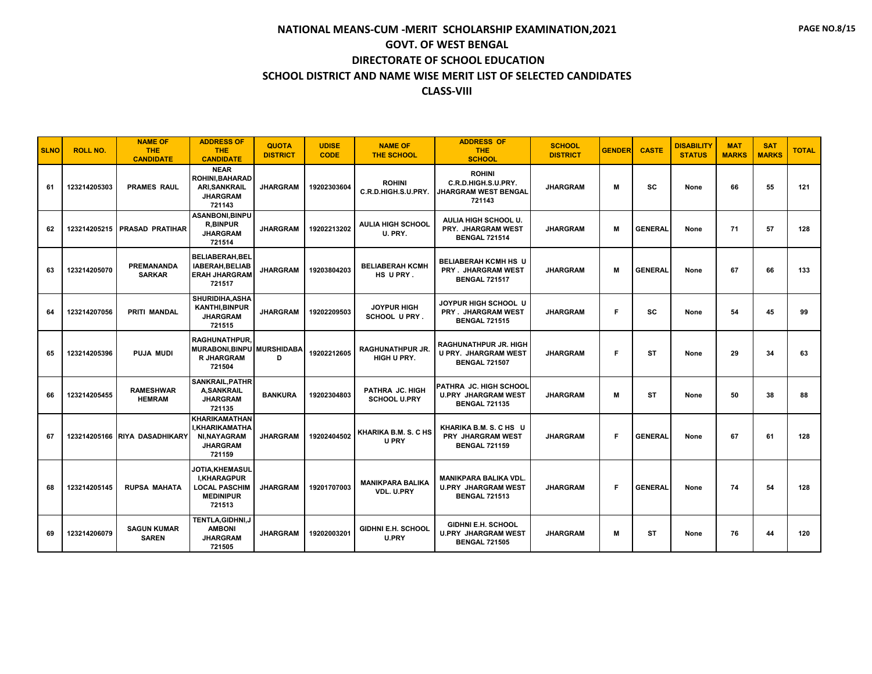| <b>SLNO</b> | <b>ROLL NO.</b> | <b>NAME OF</b><br><b>THE</b><br><b>CANDIDATE</b> | <b>ADDRESS OF</b><br><b>THE</b><br><b>CANDIDATE</b>                                               | <b>QUOTA</b><br><b>DISTRICT</b> | <b>UDISE</b><br><b>CODE</b> | <b>NAME OF</b><br><b>THE SCHOOL</b>       | <b>ADDRESS OF</b><br><b>THE</b><br><b>SCHOOL</b>                                    | <b>SCHOOL</b><br><b>DISTRICT</b> | <b>GENDER</b> | <b>CASTE</b>   | <b>DISABILITY</b><br><b>STATUS</b> | <b>MAT</b><br><b>MARKS</b> | <b>SAT</b><br><b>MARKS</b> | <b>TOTAL</b> |
|-------------|-----------------|--------------------------------------------------|---------------------------------------------------------------------------------------------------|---------------------------------|-----------------------------|-------------------------------------------|-------------------------------------------------------------------------------------|----------------------------------|---------------|----------------|------------------------------------|----------------------------|----------------------------|--------------|
| 61          | 123214205303    | <b>PRAMES RAUL</b>                               | <b>NEAR</b><br>ROHINI, BAHARAD<br><b>ARI, SANKRAIL</b><br><b>JHARGRAM</b><br>721143               | <b>JHARGRAM</b>                 | 19202303604                 | <b>ROHINI</b><br>C.R.D.HIGH.S.U.PRY.      | <b>ROHINI</b><br>C.R.D.HIGH.S.U.PRY.<br><b>JHARGRAM WEST BENGAL</b><br>721143       | <b>JHARGRAM</b>                  | м             | SC             | None                               | 66                         | 55                         | 121          |
| 62          | 123214205215    | <b>PRASAD PRATIHAR</b>                           | ASANBONI, BINPU<br><b>R,BINPUR</b><br><b>JHARGRAM</b><br>721514                                   | <b>JHARGRAM</b>                 | 19202213202                 | <b>AULIA HIGH SCHOOL</b><br>U. PRY.       | AULIA HIGH SCHOOL U.<br>PRY. JHARGRAM WEST<br><b>BENGAL 721514</b>                  | <b>JHARGRAM</b>                  | м             | <b>GENERAL</b> | None                               | 71                         | 57                         | 128          |
| 63          | 123214205070    | <b>PREMANANDA</b><br><b>SARKAR</b>               | <b>BELIABERAH, BEL</b><br>IABERAH.BELIAB<br><b>ERAH JHARGRAM</b><br>721517                        | <b>JHARGRAM</b>                 | 19203804203                 | <b>BELIABERAH KCMH</b><br>HS UPRY.        | <b>BELIABERAH KCMH HS U</b><br><b>PRY . JHARGRAM WEST</b><br><b>BENGAL 721517</b>   | <b>JHARGRAM</b>                  | м             | <b>GENERAL</b> | None                               | 67                         | 66                         | 133          |
| 64          | 123214207056    | <b>PRITI MANDAL</b>                              | SHURIDIHA.ASHA<br><b>KANTHI, BINPUR</b><br><b>JHARGRAM</b><br>721515                              | <b>JHARGRAM</b>                 | 19202209503                 | <b>JOYPUR HIGH</b><br><b>SCHOOL UPRY.</b> | JOYPUR HIGH SCHOOL U<br><b>PRY . JHARGRAM WEST</b><br><b>BENGAL 721515</b>          | <b>JHARGRAM</b>                  | F             | SC             | None                               | 54                         | 45                         | 99           |
| 65          | 123214205396    | <b>PUJA MUDI</b>                                 | <b>RAGHUNATHPUR.</b><br>MURABONI, BINPU MURSHIDABA<br><b>R JHARGRAM</b><br>721504                 | D                               | 19202212605                 | <b>RAGHUNATHPUR JR.</b><br>HIGH U PRY.    | <b>RAGHUNATHPUR JR. HIGH</b><br><b>U PRY. JHARGRAM WEST</b><br><b>BENGAL 721507</b> | <b>JHARGRAM</b>                  | F             | <b>ST</b>      | None                               | 29                         | 34                         | 63           |
| 66          | 123214205455    | <b>RAMESHWAR</b><br><b>HEMRAM</b>                | <b>SANKRAIL, PATHR</b><br><b>A,SANKRAIL</b><br><b>JHARGRAM</b><br>721135                          | <b>BANKURA</b>                  | 19202304803                 | PATHRA JC. HIGH<br><b>SCHOOL U.PRY</b>    | PATHRA JC. HIGH SCHOOL<br><b>U.PRY JHARGRAM WEST</b><br><b>BENGAL 721135</b>        | <b>JHARGRAM</b>                  | М             | <b>ST</b>      | None                               | 50                         | 38                         | 88           |
| 67          |                 | 123214205166 RIYA DASADHIKARY                    | <b>KHARIKAMATHAN</b><br><b>I.KHARIKAMATHA</b><br>NI, NAYAGRAM<br><b>JHARGRAM</b><br>721159        | <b>JHARGRAM</b>                 | 19202404502                 | KHARIKA B.M. S. C HS<br><b>U PRY</b>      | KHARIKA B.M. S. C HS U<br><b>PRY JHARGRAM WEST</b><br><b>BENGAL 721159</b>          | <b>JHARGRAM</b>                  | F.            | <b>GENERAL</b> | None                               | 67                         | 61                         | 128          |
| 68          | 123214205145    | <b>RUPSA MAHATA</b>                              | <b>JOTIA,KHEMASUL</b><br><b>I.KHARAGPUR</b><br><b>LOCAL PASCHIM</b><br><b>MEDINIPUR</b><br>721513 | <b>JHARGRAM</b>                 | 19201707003                 | <b>MANIKPARA BALIKA</b><br>VDL. U.PRY     | <b>MANIKPARA BALIKA VDL</b><br><b>U.PRY JHARGRAM WEST</b><br><b>BENGAL 721513</b>   | <b>JHARGRAM</b>                  | F.            | <b>GENERAL</b> | None                               | 74                         | 54                         | 128          |
| 69          | 123214206079    | <b>SAGUN KUMAR</b><br><b>SAREN</b>               | TENTLA, GIDHNI, J<br><b>AMBONI</b><br><b>JHARGRAM</b><br>721505                                   | <b>JHARGRAM</b>                 | 19202003201                 | <b>GIDHNI E.H. SCHOOL</b><br><b>U.PRY</b> | <b>GIDHNI E.H. SCHOOL</b><br><b>U.PRY JHARGRAM WEST</b><br><b>BENGAL 721505</b>     | <b>JHARGRAM</b>                  | М             | ST             | None                               | 76                         | 44                         | 120          |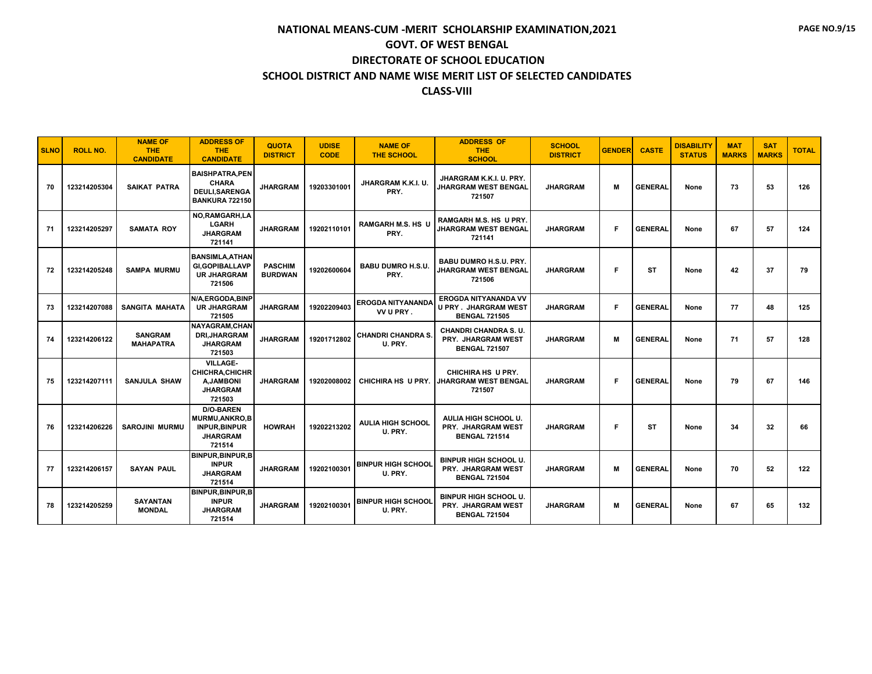| <b>SLNO</b> | <b>ROLL NO.</b> | <b>NAME OF</b><br><b>THE</b><br><b>CANDIDATE</b> | <b>ADDRESS OF</b><br><b>THE</b><br><b>CANDIDATE</b>                                           | <b>QUOTA</b><br><b>DISTRICT</b>  | <b>UDISE</b><br><b>CODE</b> | <b>NAME OF</b><br><b>THE SCHOOL</b>  | <b>ADDRESS OF</b><br><b>THE</b><br><b>SCHOOL</b>                                    | <b>SCHOOL</b><br><b>DISTRICT</b> | <b>GENDER</b> | <b>CASTE</b>   | <b>DISABILITY</b><br><b>STATUS</b> | <b>MAT</b><br><b>MARKS</b> | <b>SAT</b><br><b>MARKS</b> | <b>TOTAL</b> |
|-------------|-----------------|--------------------------------------------------|-----------------------------------------------------------------------------------------------|----------------------------------|-----------------------------|--------------------------------------|-------------------------------------------------------------------------------------|----------------------------------|---------------|----------------|------------------------------------|----------------------------|----------------------------|--------------|
| 70          | 123214205304    | <b>SAIKAT PATRA</b>                              | <b>BAISHPATRA.PEN</b><br><b>CHARA</b><br><b>DEULI.SARENGA</b><br><b>BANKURA 722150</b>        | <b>JHARGRAM</b>                  | 19203301001                 | JHARGRAM K.K.I. U.<br>PRY.           | JHARGRAM K.K.I. U. PRY.<br><b>JHARGRAM WEST BENGAL</b><br>721507                    | <b>JHARGRAM</b>                  | М             | <b>GENERAL</b> | None                               | 73                         | 53                         | 126          |
| 71          | 123214205297    | <b>SAMATA ROY</b>                                | NO, RAMGARH, LA<br><b>LGARH</b><br><b>JHARGRAM</b><br>721141                                  | <b>JHARGRAM</b>                  | 19202110101                 | <b>RAMGARH M.S. HS U</b><br>PRY.     | RAMGARH M.S. HS  U PRY.<br><b>JHARGRAM WEST BENGAL</b><br>721141                    | <b>JHARGRAM</b>                  | F.            | <b>GENERAL</b> | None                               | 67                         | 57                         | 124          |
| 72          | 123214205248    | <b>SAMPA MURMU</b>                               | <b>BANSIMLA, ATHAN</b><br><b>GI,GOPIBALLAVP</b><br><b>UR JHARGRAM</b><br>721506               | <b>PASCHIM</b><br><b>BURDWAN</b> | 19202600604                 | <b>BABU DUMRO H.S.U.</b><br>PRY.     | <b>BABU DUMRO H.S.U. PRY.</b><br>JHARGRAM WEST BENGAL<br>721506                     | <b>JHARGRAM</b>                  | F.            | <b>ST</b>      | None                               | 42                         | 37                         | 79           |
| 73          | 123214207088    | <b>SANGITA MAHATA</b>                            | N/A,ERGODA,BINP<br><b>UR JHARGRAM</b><br>721505                                               | <b>JHARGRAM</b>                  | 19202209403                 | EROGDA NITYANANDA<br>VV U PRY.       | <b>EROGDA NITYANANDA VV</b><br><b>U PRY . JHARGRAM WEST</b><br><b>BENGAL 721505</b> | <b>JHARGRAM</b>                  | F.            | <b>GENERAL</b> | None                               | 77                         | 48                         | 125          |
| 74          | 123214206122    | <b>SANGRAM</b><br><b>MAHAPATRA</b>               | <b>NAYAGRAM.CHAN</b><br><b>DRI, JHARGRAM</b><br><b>JHARGRAM</b><br>721503                     | <b>JHARGRAM</b>                  | 19201712802                 | <b>CHANDRI CHANDRA S.</b><br>U. PRY. | <b>CHANDRI CHANDRA S.U.</b><br><b>PRY. JHARGRAM WEST</b><br><b>BENGAL 721507</b>    | <b>JHARGRAM</b>                  | м             | <b>GENERAL</b> | None                               | 71                         | 57                         | 128          |
| 75          | 123214207111    | <b>SANJULA SHAW</b>                              | <b>VILLAGE-</b><br>CHICHRA.CHICHR<br><b>A, JAMBONI</b><br><b>JHARGRAM</b><br>721503           | <b>JHARGRAM</b>                  | 19202008002                 | CHICHIRA HS U PRY.                   | CHICHIRA HS U PRY.<br><b>JHARGRAM WEST BENGAL</b><br>721507                         | <b>JHARGRAM</b>                  | F.            | <b>GENERAL</b> | None                               | 79                         | 67                         | 146          |
| 76          | 123214206226    | <b>SAROJINI MURMU</b>                            | <b>D/O-BAREN</b><br><b>MURMU.ANKRO.B</b><br><b>INPUR, BINPUR</b><br><b>JHARGRAM</b><br>721514 | <b>HOWRAH</b>                    | 19202213202                 | AULIA HIGH SCHOOL<br>U. PRY.         | AULIA HIGH SCHOOL U.<br><b>PRY. JHARGRAM WEST</b><br><b>BENGAL 721514</b>           | <b>JHARGRAM</b>                  | F.            | <b>ST</b>      | None                               | 34                         | 32                         | 66           |
| 77          | 123214206157    | <b>SAYAN PAUL</b>                                | <b>BINPUR, BINPUR, B</b><br><b>INPUR</b><br><b>JHARGRAM</b><br>721514                         | <b>JHARGRAM</b>                  | 19202100301                 | <b>BINPUR HIGH SCHOOL</b><br>U. PRY. | <b>BINPUR HIGH SCHOOL U.</b><br>PRY. JHARGRAM WEST<br><b>BENGAL 721504</b>          | <b>JHARGRAM</b>                  | М             | <b>GENERAL</b> | None                               | 70                         | 52                         | 122          |
| 78          | 123214205259    | <b>SAYANTAN</b><br><b>MONDAL</b>                 | BINPUR, BINPUR, B<br><b>INPUR</b><br><b>JHARGRAM</b><br>721514                                | <b>JHARGRAM</b>                  | 19202100301                 | <b>BINPUR HIGH SCHOOL</b><br>U. PRY. | <b>BINPUR HIGH SCHOOL U.</b><br><b>PRY. JHARGRAM WEST</b><br><b>BENGAL 721504</b>   | <b>JHARGRAM</b>                  | м             | <b>GENERAL</b> | None                               | 67                         | 65                         | 132          |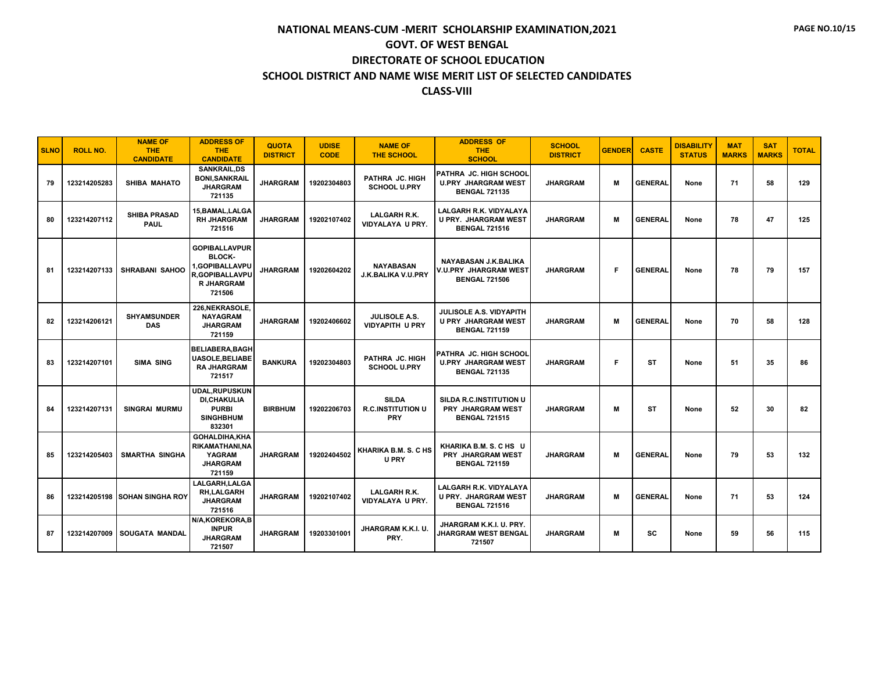| <b>SLNO</b> | <b>ROLL NO.</b> | <b>NAME OF</b><br><b>THE</b><br><b>CANDIDATE</b> | <b>ADDRESS OF</b><br><b>THE</b><br><b>CANDIDATE</b>                                                             | <b>QUOTA</b><br><b>DISTRICT</b> | <b>UDISE</b><br><b>CODE</b> | <b>NAME OF</b><br><b>THE SCHOOL</b>                    | <b>ADDRESS OF</b><br><b>THE</b><br><b>SCHOOL</b>                                     | <b>SCHOOL</b><br><b>DISTRICT</b> | <b>GENDER</b> | <b>CASTE</b>   | <b>DISABILITY</b><br><b>STATUS</b> | <b>MAT</b><br><b>MARKS</b> | <b>SAT</b><br><b>MARKS</b> | <b>TOTAL</b> |
|-------------|-----------------|--------------------------------------------------|-----------------------------------------------------------------------------------------------------------------|---------------------------------|-----------------------------|--------------------------------------------------------|--------------------------------------------------------------------------------------|----------------------------------|---------------|----------------|------------------------------------|----------------------------|----------------------------|--------------|
| 79          | 123214205283    | <b>SHIBA MAHATO</b>                              | <b>SANKRAIL.DS</b><br><b>BONI, SANKRAIL</b><br><b>JHARGRAM</b><br>721135                                        | <b>JHARGRAM</b>                 | 19202304803                 | PATHRA JC. HIGH<br><b>SCHOOL U.PRY</b>                 | PATHRA JC. HIGH SCHOOL<br><b>U.PRY JHARGRAM WEST</b><br><b>BENGAL 721135</b>         | <b>JHARGRAM</b>                  | м             | <b>GENERAL</b> | None                               | 71                         | 58                         | 129          |
| 80          | 123214207112    | <b>SHIBA PRASAD</b><br><b>PAUL</b>               | 15, BAMAL, LALGA<br><b>RH JHARGRAM</b><br>721516                                                                | <b>JHARGRAM</b>                 | 19202107402                 | LALGARH R.K.<br>VIDYALAYA U PRY.                       | <b>LALGARH R.K. VIDYALAYA</b><br><b>U PRY. JHARGRAM WEST</b><br><b>BENGAL 721516</b> | <b>JHARGRAM</b>                  | М             | <b>GENERAL</b> | None                               | 78                         | 47                         | 125          |
| 81          | 123214207133    | <b>SHRABANI SAHOO</b>                            | <b>GOPIBALLAVPUR</b><br><b>BLOCK-</b><br>1.GOPIBALLAVPU<br><b>R,GOPIBALLAVPU</b><br><b>R JHARGRAM</b><br>721506 | <b>JHARGRAM</b>                 | 19202604202                 | <b>NAYABASAN</b><br>J.K.BALIKA V.U.PRY                 | NAYABASAN J.K.BALIKA<br>V.U.PRY JHARGRAM WEST<br><b>BENGAL 721506</b>                | <b>JHARGRAM</b>                  | F.            | <b>GENERAL</b> | None                               | 78                         | 79                         | 157          |
| 82          | 123214206121    | <b>SHYAMSUNDER</b><br><b>DAS</b>                 | 226, NEKRASOLE,<br><b>NAYAGRAM</b><br><b>JHARGRAM</b><br>721159                                                 | <b>JHARGRAM</b>                 | 19202406602                 | JULISOLE A.S.<br><b>VIDYAPITH U PRY</b>                | <b>JULISOLE A.S. VIDYAPITH</b><br><b>U PRY JHARGRAM WEST</b><br><b>BENGAL 721159</b> | <b>JHARGRAM</b>                  | М             | <b>GENERAL</b> | None                               | 70                         | 58                         | 128          |
| 83          | 123214207101    | <b>SIMA SING</b>                                 | <b>BELIABERA, BAGH</b><br><b>UASOLE, BELIABE</b><br><b>RA JHARGRAM</b><br>721517                                | <b>BANKURA</b>                  | 19202304803                 | PATHRA JC. HIGH<br><b>SCHOOL U.PRY</b>                 | PATHRA JC. HIGH SCHOOL<br><b>U.PRY JHARGRAM WEST</b><br><b>BENGAL 721135</b>         | <b>JHARGRAM</b>                  | F.            | <b>ST</b>      | None                               | 51                         | 35                         | 86           |
| 84          | 123214207131    | <b>SINGRAI MURMU</b>                             | <b>UDAL.RUPUSKUN</b><br><b>DI,CHAKULIA</b><br><b>PURBI</b><br><b>SINGHBHUM</b><br>832301                        | <b>BIRBHUM</b>                  | 19202206703                 | <b>SILDA</b><br><b>R.C.INSTITUTION U</b><br><b>PRY</b> | <b>SILDA R.C.INSTITUTION U</b><br><b>PRY JHARGRAM WEST</b><br><b>BENGAL 721515</b>   | <b>JHARGRAM</b>                  | м             | ST             | None                               | 52                         | 30                         | 82           |
| 85          | 123214205403    | <b>SMARTHA SINGHA</b>                            | <b>GOHALDIHA.KHA</b><br><b>RIKAMATHANI.NA</b><br><b>YAGRAM</b><br><b>JHARGRAM</b><br>721159                     | <b>JHARGRAM</b>                 | 19202404502                 | KHARIKA B.M. S. C HS<br><b>U PRY</b>                   | KHARIKA B.M. S. C HS U<br>PRY JHARGRAM WEST<br><b>BENGAL 721159</b>                  | <b>JHARGRAM</b>                  | м             | <b>GENERAL</b> | None                               | 79                         | 53                         | 132          |
| 86          |                 | <b>123214205198 SOHAN SINGHA ROY</b>             | <b>LALGARH.LALGA</b><br><b>RH.LALGARH</b><br><b>JHARGRAM</b><br>721516                                          | <b>JHARGRAM</b>                 | 19202107402                 | <b>LALGARH R.K.</b><br>VIDYALAYA U PRY.                | <b>LALGARH R.K. VIDYALAYA</b><br><b>U PRY. JHARGRAM WEST</b><br><b>BENGAL 721516</b> | <b>JHARGRAM</b>                  | м             | <b>GENERAL</b> | None                               | 71                         | 53                         | 124          |
| 87          | 123214207009    | <b>SOUGATA MANDAL</b>                            | N/A,KOREKORA,B<br><b>INPUR</b><br><b>JHARGRAM</b><br>721507                                                     | <b>JHARGRAM</b>                 | 19203301001                 | JHARGRAM K.K.I. U.<br>PRY.                             | JHARGRAM K.K.I. U. PRY.<br><b>JHARGRAM WEST BENGAL</b><br>721507                     | <b>JHARGRAM</b>                  | м             | sc             | None                               | 59                         | 56                         | 115          |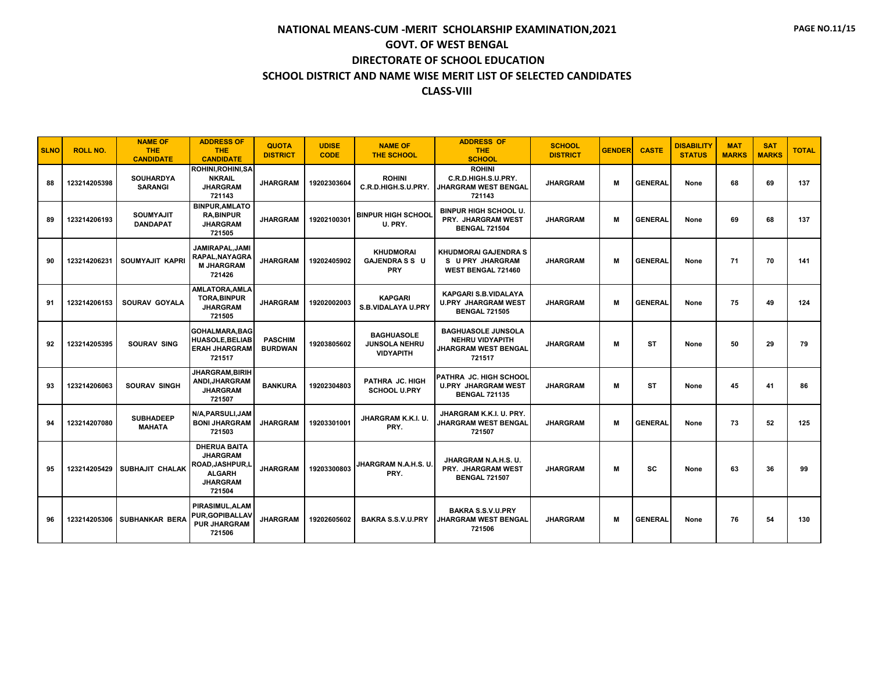| <b>SLNO</b> | <b>ROLL NO.</b> | <b>NAME OF</b><br><b>THE</b><br><b>CANDIDATE</b> | <b>ADDRESS OF</b><br><b>THE</b><br><b>CANDIDATE</b>                                                      | <b>QUOTA</b><br><b>DISTRICT</b>  | <b>UDISE</b><br><b>CODE</b> | <b>NAME OF</b><br><b>THE SCHOOL</b>                           | <b>ADDRESS OF</b><br><b>THE</b><br><b>SCHOOL</b>                                             | <b>SCHOOL</b><br><b>DISTRICT</b> | <b>GENDER</b> | <b>CASTE</b>   | <b>DISABILITY</b><br><b>STATUS</b> | <b>MAT</b><br><b>MARKS</b> | <b>SAT</b><br><b>MARKS</b> | <b>TOTAL</b> |
|-------------|-----------------|--------------------------------------------------|----------------------------------------------------------------------------------------------------------|----------------------------------|-----------------------------|---------------------------------------------------------------|----------------------------------------------------------------------------------------------|----------------------------------|---------------|----------------|------------------------------------|----------------------------|----------------------------|--------------|
| 88          | 123214205398    | <b>SOUHARDYA</b><br><b>SARANGI</b>               | <b>ROHINI.ROHINI.SA</b><br><b>NKRAIL</b><br><b>JHARGRAM</b><br>721143                                    | <b>JHARGRAM</b>                  | 19202303604                 | <b>ROHINI</b><br>C.R.D.HIGH.S.U.PRY.                          | <b>ROHINI</b><br>C.R.D.HIGH.S.U.PRY.<br><b>JHARGRAM WEST BENGAL</b><br>721143                | <b>JHARGRAM</b>                  | M             | <b>GENERAL</b> | None                               | 68                         | 69                         | 137          |
| 89          | 123214206193    | <b>SOUMYAJIT</b><br><b>DANDAPAT</b>              | <b>BINPUR, AMLATO</b><br><b>RA.BINPUR</b><br><b>JHARGRAM</b><br>721505                                   | <b>JHARGRAM</b>                  | 19202100301                 | <b>BINPUR HIGH SCHOOL</b><br>U. PRY.                          | <b>BINPUR HIGH SCHOOL U.</b><br>PRY. JHARGRAM WEST<br><b>BENGAL 721504</b>                   | <b>JHARGRAM</b>                  | м             | <b>GENERAL</b> | None                               | 69                         | 68                         | 137          |
| 90          | 123214206231    | SOUMYAJIT KAPRI                                  | JAMIRAPAL, JAMI<br>RAPAL, NAYAGRA<br><b>M JHARGRAM</b><br>721426                                         | <b>JHARGRAM</b>                  | 19202405902                 | <b>KHUDMORAI</b><br><b>GAJENDRASS U</b><br><b>PRY</b>         | KHUDMORAI GAJENDRA S<br>S U PRY JHARGRAM<br><b>WEST BENGAL 721460</b>                        | <b>JHARGRAM</b>                  | м             | <b>GENERAL</b> | None                               | 71                         | 70                         | 141          |
| 91          | 123214206153    | SOURAV GOYALA                                    | <b>AMLATORA, AMLA</b><br><b>TORA, BINPUR</b><br><b>JHARGRAM</b><br>721505                                | <b>JHARGRAM</b>                  | 19202002003                 | <b>KAPGARI</b><br>S.B.VIDALAYA U.PRY                          | <b>KAPGARI S.B.VIDALAYA</b><br><b>U.PRY JHARGRAM WEST</b><br><b>BENGAL 721505</b>            | <b>JHARGRAM</b>                  | M             | <b>GENERAL</b> | None                               | 75                         | 49                         | 124          |
| 92          | 123214205395    | <b>SOURAV SING</b>                               | <b>GOHALMARA.BAG</b><br><b>HUASOLE, BELIAB</b><br><b>ERAH JHARGRAM</b><br>721517                         | <b>PASCHIM</b><br><b>BURDWAN</b> | 19203805602                 | <b>BAGHUASOLE</b><br><b>JUNSOLA NEHRU</b><br><b>VIDYAPITH</b> | <b>BAGHUASOLE JUNSOLA</b><br><b>NEHRU VIDYAPITH</b><br><b>JHARGRAM WEST BENGAL</b><br>721517 | <b>JHARGRAM</b>                  | M             | <b>ST</b>      | None                               | 50                         | 29                         | 79           |
| 93          | 123214206063    | <b>SOURAV SINGH</b>                              | <b>JHARGRAM.BIRIH</b><br>ANDI, JHARGRAM<br><b>JHARGRAM</b><br>721507                                     | <b>BANKURA</b>                   | 19202304803                 | PATHRA JC. HIGH<br><b>SCHOOL U.PRY</b>                        | <b>PATHRA JC. HIGH SCHOOL</b><br><b>U.PRY JHARGRAM WEST</b><br><b>BENGAL 721135</b>          | <b>JHARGRAM</b>                  | M             | <b>ST</b>      | None                               | 45                         | 41                         | 86           |
| 94          | 123214207080    | <b>SUBHADEEP</b><br><b>MAHATA</b>                | N/A.PARSULI.JAM<br><b>BONI JHARGRAM</b><br>721503                                                        | <b>JHARGRAM</b>                  | 19203301001                 | JHARGRAM K.K.I. U.<br>PRY.                                    | JHARGRAM K.K.I. U. PRY.<br>JHARGRAM WEST BENGAL<br>721507                                    | <b>JHARGRAM</b>                  | М             | <b>GENERAL</b> | None                               | 73                         | 52                         | 125          |
| 95          | 123214205429    | SUBHAJIT CHALAK                                  | <b>DHERUA BAITA</b><br><b>JHARGRAM</b><br>ROAD, JASHPUR, L<br><b>ALGARH</b><br><b>JHARGRAM</b><br>721504 | <b>JHARGRAM</b>                  | 19203300803                 | JHARGRAM N.A.H.S. U.<br>PRY.                                  | JHARGRAM N.A.H.S. U.<br>PRY. JHARGRAM WEST<br><b>BENGAL 721507</b>                           | <b>JHARGRAM</b>                  | M             | <b>SC</b>      | None                               | 63                         | 36                         | 99           |
| 96          | 123214205306    | <b>SUBHANKAR BERA</b>                            | PIRASIMUL.ALAM<br><b>PUR.GOPIBALLAV</b><br><b>PUR JHARGRAM</b><br>721506                                 | <b>JHARGRAM</b>                  | 19202605602                 | <b>BAKRA S.S.V.U.PRY</b>                                      | <b>BAKRA S.S.V.U.PRY</b><br>JHARGRAM WEST BENGAL<br>721506                                   | <b>JHARGRAM</b>                  | м             | <b>GENERAL</b> | None                               | 76                         | 54                         | 130          |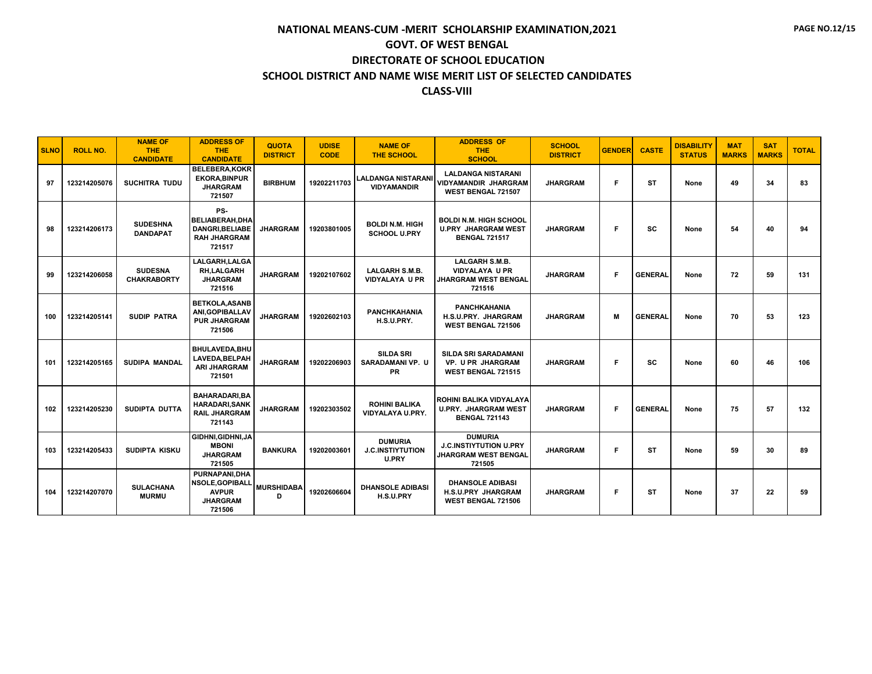| <b>SLNO</b> | <b>ROLL NO.</b> | <b>NAME OF</b><br><b>THE</b><br><b>CANDIDATE</b> | <b>ADDRESS OF</b><br><b>THE</b><br><b>CANDIDATE</b>                                  | <b>QUOTA</b><br><b>DISTRICT</b> | <b>UDISE</b><br><b>CODE</b> | <b>NAME OF</b><br><b>THE SCHOOL</b>                       | <b>ADDRESS OF</b><br>THE.<br><b>SCHOOL</b>                                           | <b>SCHOOL</b><br><b>DISTRICT</b> | <b>GENDER</b> | <b>CASTE</b>   | <b>DISABILITY</b><br><b>STATUS</b> | <b>MAT</b><br><b>MARKS</b> | <b>SAT</b><br><b>MARKS</b> | <b>TOTAL</b> |
|-------------|-----------------|--------------------------------------------------|--------------------------------------------------------------------------------------|---------------------------------|-----------------------------|-----------------------------------------------------------|--------------------------------------------------------------------------------------|----------------------------------|---------------|----------------|------------------------------------|----------------------------|----------------------------|--------------|
| 97          | 123214205076    | <b>SUCHITRA TUDU</b>                             | <b>BELEBERA.KOKR</b><br><b>EKORA, BINPUR</b><br><b>JHARGRAM</b><br>721507            | <b>BIRBHUM</b>                  | 19202211703                 | <b>LALDANGA NISTARANI</b><br><b>VIDYAMANDIR</b>           | <b>LALDANGA NISTARANI</b><br><b>VIDYAMANDIR JHARGRAM</b><br>WEST BENGAL 721507       | <b>JHARGRAM</b>                  | F             | <b>ST</b>      | None                               | 49                         | 34                         | 83           |
| 98          | 123214206173    | <b>SUDESHNA</b><br><b>DANDAPAT</b>               | PS-<br><b>BELIABERAH.DHA</b><br>DANGRI, BELIABE<br><b>RAH JHARGRAM</b><br>721517     | <b>JHARGRAM</b>                 | 19203801005                 | <b>BOLDI N.M. HIGH</b><br><b>SCHOOL U.PRY</b>             | <b>BOLDI N.M. HIGH SCHOOL</b><br><b>U.PRY JHARGRAM WEST</b><br><b>BENGAL 721517</b>  | <b>JHARGRAM</b>                  | F             | <b>SC</b>      | None                               | 54                         | 40                         | 94           |
| 99          | 123214206058    | <b>SUDESNA</b><br><b>CHAKRABORTY</b>             | LALGARH, LALGA<br>RH,LALGARH<br><b>JHARGRAM</b><br>721516                            | <b>JHARGRAM</b>                 | 19202107602                 | <b>LALGARH S.M.B.</b><br><b>VIDYALAYA U PR</b>            | <b>LALGARH S.M.B.</b><br><b>VIDYALAYA U PR</b><br>JHARGRAM WEST BENGAL<br>721516     | <b>JHARGRAM</b>                  | F             | <b>GENERAL</b> | None                               | 72                         | 59                         | 131          |
| 100         | 123214205141    | <b>SUDIP PATRA</b>                               | <b>BETKOLA, ASANB</b><br>ANI, GOPIBALLAV<br><b>PUR JHARGRAM</b><br>721506            | <b>JHARGRAM</b>                 | 19202602103                 | <b>PANCHKAHANIA</b><br>H.S.U.PRY.                         | <b>PANCHKAHANIA</b><br>H.S.U.PRY. JHARGRAM<br><b>WEST BENGAL 721506</b>              | <b>JHARGRAM</b>                  | М             | <b>GENERAL</b> | None                               | 70                         | 53                         | 123          |
| 101         | 123214205165    | <b>SUDIPA MANDAL</b>                             | BHULAVEDA.BHU<br>LAVEDA, BELPAH<br><b>ARI JHARGRAM</b><br>721501                     | <b>JHARGRAM</b>                 | 19202206903                 | <b>SILDA SRI</b><br><b>SARADAMANI VP. U</b><br><b>PR</b>  | <b>SILDA SRI SARADAMANI</b><br><b>VP. U PR JHARGRAM</b><br><b>WEST BENGAL 721515</b> | <b>JHARGRAM</b>                  | F             | <b>SC</b>      | None                               | 60                         | 46                         | 106          |
| 102         | 123214205230    | SUDIPTA DUTTA                                    | <b>BAHARADARI.BA</b><br><b>HARADARI, SANK</b><br><b>RAIL JHARGRAM</b><br>721143      | <b>JHARGRAM</b>                 | 19202303502                 | <b>ROHINI BALIKA</b><br>VIDYALAYA U.PRY.                  | ROHINI BALIKA VIDYALAYA<br><b>U.PRY. JHARGRAM WEST</b><br><b>BENGAL 721143</b>       | <b>JHARGRAM</b>                  | F             | <b>GENERAL</b> | None                               | 75                         | 57                         | 132          |
| 103         | 123214205433    | <b>SUDIPTA KISKU</b>                             | GIDHNI, GIDHNI, JA<br><b>MBONI</b><br><b>JHARGRAM</b><br>721505                      | <b>BANKURA</b>                  | 19202003601                 | <b>DUMURIA</b><br><b>J.C.INSTIYTUTION</b><br><b>U.PRY</b> | <b>DUMURIA</b><br><b>J.C.INSTIYTUTION U.PRY</b><br>JHARGRAM WEST BENGAL<br>721505    | <b>JHARGRAM</b>                  | F             | <b>ST</b>      | None                               | 59                         | 30                         | 89           |
| 104         | 123214207070    | <b>SULACHANA</b><br><b>MURMU</b>                 | PURNAPANI.DHA<br><b>NSOLE, GOPIBALL</b><br><b>AVPUR</b><br><b>JHARGRAM</b><br>721506 | <b>MURSHIDABA</b><br>D          | 19202606604                 | <b>DHANSOLE ADIBASI</b><br>H.S.U.PRY                      | <b>DHANSOLE ADIBASI</b><br><b>H.S.U.PRY JHARGRAM</b><br><b>WEST BENGAL 721506</b>    | <b>JHARGRAM</b>                  | F             | <b>ST</b>      | None                               | 37                         | 22                         | 59           |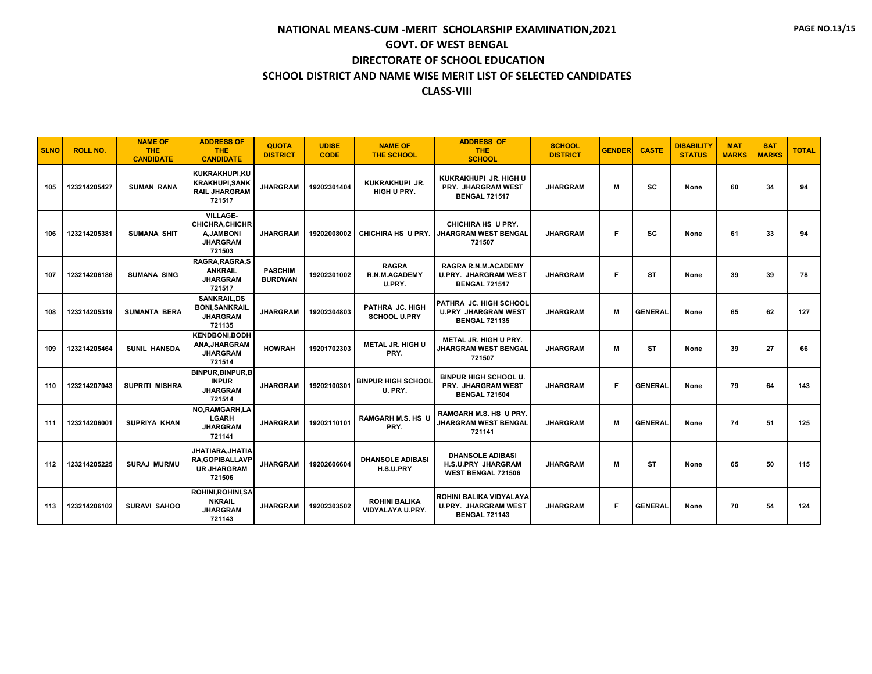| <b>SLNO</b> | <b>ROLL NO.</b> | <b>NAME OF</b><br><b>THE</b><br><b>CANDIDATE</b> | <b>ADDRESS OF</b><br><b>THE</b><br><b>CANDIDATE</b>                                 | <b>QUOTA</b><br><b>DISTRICT</b>  | <b>UDISE</b><br><b>CODE</b> | <b>NAME OF</b><br><b>THE SCHOOL</b>            | <b>ADDRESS OF</b><br><b>THE</b><br><b>SCHOOL</b>                                  | <b>SCHOOL</b><br><b>DISTRICT</b> | <b>GENDER</b> | <b>CASTE</b>   | <b>DISABILITY</b><br><b>STATUS</b> | <b>MAT</b><br><b>MARKS</b> | <b>SAT</b><br><b>MARKS</b> | <b>TOTAL</b> |
|-------------|-----------------|--------------------------------------------------|-------------------------------------------------------------------------------------|----------------------------------|-----------------------------|------------------------------------------------|-----------------------------------------------------------------------------------|----------------------------------|---------------|----------------|------------------------------------|----------------------------|----------------------------|--------------|
| 105         | 123214205427    | <b>SUMAN RANA</b>                                | KUKRAKHUPI.KU<br><b>KRAKHUPI,SANK</b><br><b>RAIL JHARGRAM</b><br>721517             | <b>JHARGRAM</b>                  | 19202301404                 | KUKRAKHUPI JR.<br>HIGH U PRY.                  | KUKRAKHUPI JR. HIGH U<br>PRY. JHARGRAM WEST<br><b>BENGAL 721517</b>               | <b>JHARGRAM</b>                  | M             | <b>SC</b>      | None                               | 60                         | 34                         | 94           |
| 106         | 123214205381    | <b>SUMANA SHIT</b>                               | <b>VILLAGE-</b><br><b>CHICHRA, CHICHR</b><br>A.JAMBONI<br><b>JHARGRAM</b><br>721503 | <b>JHARGRAM</b>                  | 19202008002                 | CHICHIRA HS U PRY.                             | CHICHIRA HS U PRY.<br><b>JHARGRAM WEST BENGAL</b><br>721507                       | <b>JHARGRAM</b>                  | F.            | <b>SC</b>      | None                               | 61                         | 33                         | 94           |
| 107         | 123214206186    | <b>SUMANA SING</b>                               | RAGRA, RAGRA, S<br><b>ANKRAIL</b><br><b>JHARGRAM</b><br>721517                      | <b>PASCHIM</b><br><b>BURDWAN</b> | 19202301002                 | <b>RAGRA</b><br><b>R.N.M.ACADEMY</b><br>U.PRY. | RAGRA R.N.M.ACADEMY<br><b>U.PRY. JHARGRAM WEST</b><br><b>BENGAL 721517</b>        | <b>JHARGRAM</b>                  | F.            | <b>ST</b>      | None                               | 39                         | 39                         | 78           |
| 108         | 123214205319    | <b>SUMANTA BERA</b>                              | <b>SANKRAIL,DS</b><br><b>BONI, SANKRAIL</b><br><b>JHARGRAM</b><br>721135            | <b>JHARGRAM</b>                  | 19202304803                 | PATHRA JC. HIGH<br><b>SCHOOL U.PRY</b>         | PATHRA JC. HIGH SCHOOL<br><b>U.PRY JHARGRAM WEST</b><br><b>BENGAL 721135</b>      | <b>JHARGRAM</b>                  | м             | <b>GENERAL</b> | None                               | 65                         | 62                         | 127          |
| 109         | 123214205464    | <b>SUNIL HANSDA</b>                              | <b>KENDBONI,BODH</b><br>ANA, JHARGRAM<br><b>JHARGRAM</b><br>721514                  | <b>HOWRAH</b>                    | 19201702303                 | <b>METAL JR. HIGH U</b><br>PRY.                | METAL JR. HIGH U PRY.<br><b>JHARGRAM WEST BENGAL</b><br>721507                    | <b>JHARGRAM</b>                  | М             | <b>ST</b>      | None                               | 39                         | 27                         | 66           |
| 110         | 123214207043    | <b>SUPRITI MISHRA</b>                            | <b>BINPUR, BINPUR, B</b><br><b>INPUR</b><br><b>JHARGRAM</b><br>721514               | <b>JHARGRAM</b>                  | 19202100301                 | <b>BINPUR HIGH SCHOOL</b><br>U. PRY.           | <b>BINPUR HIGH SCHOOL U.</b><br>PRY. JHARGRAM WEST<br><b>BENGAL 721504</b>        | <b>JHARGRAM</b>                  | F.            | <b>GENERAL</b> | None                               | 79                         | 64                         | 143          |
| 111         | 123214206001    | <b>SUPRIYA KHAN</b>                              | NO, RAMGARH, LA<br><b>LGARH</b><br><b>JHARGRAM</b><br>721141                        | <b>JHARGRAM</b>                  | 19202110101                 | <b>RAMGARH M.S. HS U</b><br>PRY.               | RAMGARH M.S. HS U PRY.<br><b>JHARGRAM WEST BENGAL</b><br>721141                   | <b>JHARGRAM</b>                  | М             | <b>GENERAL</b> | None                               | 74                         | 51                         | 125          |
| 112         | 123214205225    | <b>SURAJ MURMU</b>                               | JHATIARA,JHATIA<br><b>RA, GOPIBALLAVP</b><br><b>UR JHARGRAM</b><br>721506           | <b>JHARGRAM</b>                  | 19202606604                 | <b>DHANSOLE ADIBASI</b><br>H.S.U.PRY           | <b>DHANSOLE ADIBASI</b><br><b>H.S.U.PRY JHARGRAM</b><br><b>WEST BENGAL 721506</b> | <b>JHARGRAM</b>                  | М             | <b>ST</b>      | None                               | 65                         | 50                         | 115          |
| 113         | 123214206102    | <b>SURAVI SAHOO</b>                              | <b>ROHINI, ROHINI, SA</b><br><b>NKRAIL</b><br><b>JHARGRAM</b><br>721143             | <b>JHARGRAM</b>                  | 19202303502                 | <b>ROHINI BALIKA</b><br>VIDYALAYA U.PRY.       | ROHINI BALIKA VIDYALAYA<br><b>U.PRY. JHARGRAM WEST</b><br><b>BENGAL 721143</b>    | <b>JHARGRAM</b>                  | F.            | <b>GENERAL</b> | None                               | 70                         | 54                         | 124          |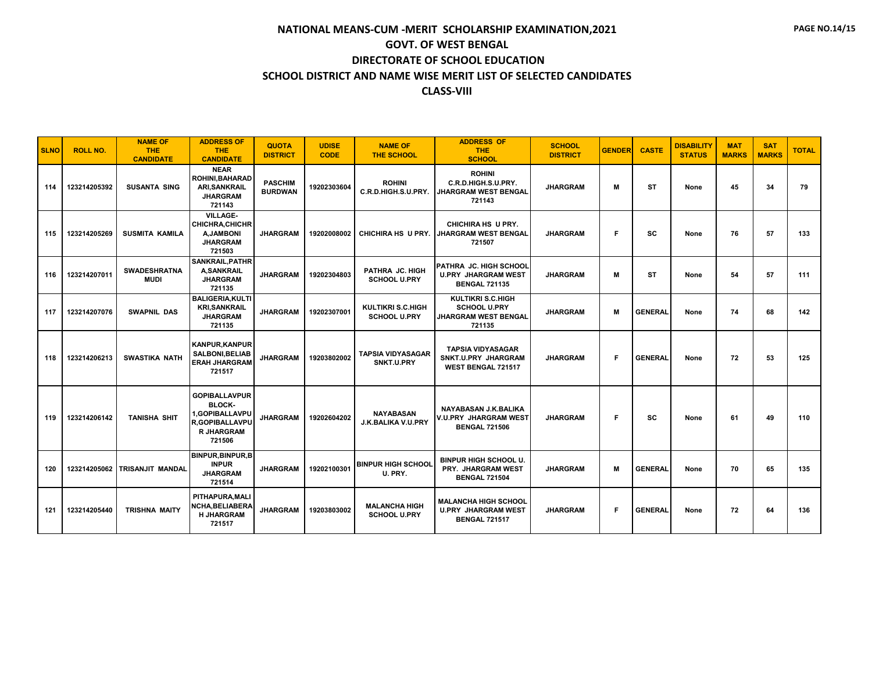| <b>SLNO</b> | <b>ROLL NO.</b> | <b>NAME OF</b><br><b>THE</b><br><b>CANDIDATE</b> | <b>ADDRESS OF</b><br><b>THE</b><br><b>CANDIDATE</b>                                                             | <b>QUOTA</b><br><b>DISTRICT</b>  | <b>UDISE</b><br><b>CODE</b> | <b>NAME OF</b><br><b>THE SCHOOL</b>             | <b>ADDRESS OF</b><br>THE.<br><b>SCHOOL</b>                                          | <b>SCHOOL</b><br><b>DISTRICT</b> | <b>GENDER</b> | <b>CASTE</b>   | <b>DISABILITY</b><br><b>STATUS</b> | <b>MAT</b><br><b>MARKS</b> | <b>SAT</b><br><b>MARKS</b> | <b>TOTAL</b> |
|-------------|-----------------|--------------------------------------------------|-----------------------------------------------------------------------------------------------------------------|----------------------------------|-----------------------------|-------------------------------------------------|-------------------------------------------------------------------------------------|----------------------------------|---------------|----------------|------------------------------------|----------------------------|----------------------------|--------------|
| 114         | 123214205392    | <b>SUSANTA SING</b>                              | <b>NEAR</b><br><b>ROHINI, BAHARAD</b><br><b>ARI, SANKRAIL</b><br><b>JHARGRAM</b><br>721143                      | <b>PASCHIM</b><br><b>BURDWAN</b> | 19202303604                 | <b>ROHINI</b><br>C.R.D.HIGH.S.U.PRY.            | <b>ROHINI</b><br>C.R.D.HIGH.S.U.PRY.<br><b>JHARGRAM WEST BENGAL</b><br>721143       | <b>JHARGRAM</b>                  | М             | <b>ST</b>      | None                               | 45                         | 34                         | 79           |
| 115         | 123214205269    | <b>SUSMITA KAMILA</b>                            | <b>VILLAGE-</b><br><b>CHICHRA, CHICHR</b><br><b>A, JAMBONI</b><br><b>JHARGRAM</b><br>721503                     | <b>JHARGRAM</b>                  | 19202008002                 | <b>CHICHIRA HS U PRY.</b>                       | CHICHIRA HS U PRY.<br><b>JHARGRAM WEST BENGAL</b><br>721507                         | <b>JHARGRAM</b>                  | F             | SC             | None                               | 76                         | 57                         | 133          |
| 116         | 123214207011    | <b>SWADESHRATNA</b><br><b>MUDI</b>               | <b>SANKRAIL, PATHR</b><br><b>A,SANKRAIL</b><br><b>JHARGRAM</b><br>721135                                        | <b>JHARGRAM</b>                  | 19202304803                 | PATHRA JC. HIGH<br><b>SCHOOL U.PRY</b>          | <b>PATHRA JC. HIGH SCHOOL</b><br><b>U.PRY JHARGRAM WEST</b><br><b>BENGAL 721135</b> | <b>JHARGRAM</b>                  | М             | <b>ST</b>      | None                               | 54                         | 57                         | 111          |
| 117         | 123214207076    | <b>SWAPNIL DAS</b>                               | <b>BALIGERIA.KULTI</b><br><b>KRI, SANKRAIL</b><br><b>JHARGRAM</b><br>721135                                     | <b>JHARGRAM</b>                  | 19202307001                 | <b>KULTIKRI S.C.HIGH</b><br><b>SCHOOL U.PRY</b> | <b>KULTIKRI S.C.HIGH</b><br><b>SCHOOL U.PRY</b><br>JHARGRAM WEST BENGAL<br>721135   | <b>JHARGRAM</b>                  | М             | <b>GENERAL</b> | None                               | 74                         | 68                         | 142          |
| 118         | 123214206213    | <b>SWASTIKA NATH</b>                             | <b>KANPUR.KANPUR</b><br><b>SALBONI.BELIAB</b><br><b>ERAH JHARGRAM</b><br>721517                                 | <b>JHARGRAM</b>                  | 19203802002                 | <b>TAPSIA VIDYASAGAR</b><br>SNKT.U.PRY          | <b>TAPSIA VIDYASAGAR</b><br>SNKT.U.PRY JHARGRAM<br>WEST BENGAL 721517               | <b>JHARGRAM</b>                  | F.            | <b>GENERAL</b> | None                               | 72                         | 53                         | 125          |
| 119         | 123214206142    | <b>TANISHA SHIT</b>                              | <b>GOPIBALLAVPUR</b><br><b>BLOCK-</b><br>1.GOPIBALLAVPU<br><b>R.GOPIBALLAVPU</b><br><b>R JHARGRAM</b><br>721506 | <b>JHARGRAM</b>                  | 19202604202                 | <b>NAYABASAN</b><br>J.K.BALIKA V.U.PRY          | NAYABASAN J.K.BALIKA<br>V.U.PRY JHARGRAM WEST<br><b>BENGAL 721506</b>               | <b>JHARGRAM</b>                  | F.            | SC             | None                               | 61                         | 49                         | 110          |
| 120         | 123214205062    | TRISANJIT MANDAL                                 | <b>BINPUR, BINPUR, B</b><br><b>INPUR</b><br><b>JHARGRAM</b><br>721514                                           | <b>JHARGRAM</b>                  | 19202100301                 | <b>BINPUR HIGH SCHOOL</b><br>U. PRY.            | BINPUR HIGH SCHOOL U.<br><b>PRY. JHARGRAM WEST</b><br><b>BENGAL 721504</b>          | <b>JHARGRAM</b>                  | М             | <b>GENERAL</b> | None                               | 70                         | 65                         | 135          |
| 121         | 123214205440    | <b>TRISHNA MAITY</b>                             | PITHAPURA.MALI<br><b>NCHA, BELIABERA</b><br><b>H JHARGRAM</b><br>721517                                         | <b>JHARGRAM</b>                  | 19203803002                 | <b>MALANCHA HIGH</b><br><b>SCHOOL U.PRY</b>     | <b>MALANCHA HIGH SCHOOL</b><br><b>U.PRY JHARGRAM WEST</b><br><b>BENGAL 721517</b>   | <b>JHARGRAM</b>                  | F.            | <b>GENERAL</b> | None                               | 72                         | 64                         | 136          |